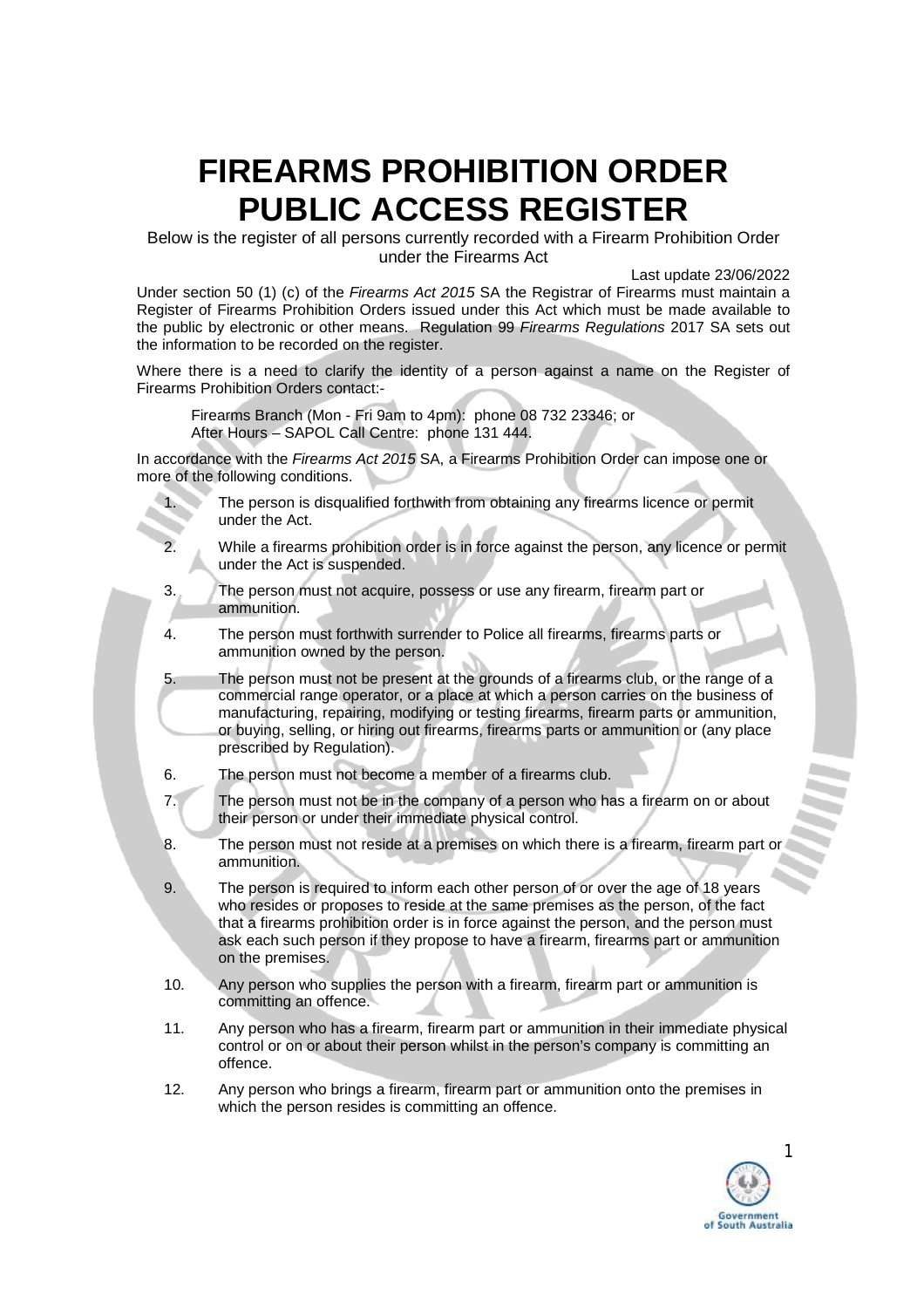Below is the register of all persons currently recorded with a Firearm Prohibition Order under the Firearms Act

Last update 23/06/2022

Under section 50 (1) (c) of the *Firearms Act 2015* SA the Registrar of Firearms must maintain a Register of Firearms Prohibition Orders issued under this Act which must be made available to the public by electronic or other means. Regulation 99 *Firearms Regulations* 2017 SA sets out the information to be recorded on the register.

Where there is a need to clarify the identity of a person against a name on the Register of Firearms Prohibition Orders contact:-

Firearms Branch (Mon - Fri 9am to 4pm): phone 08 732 23346; or After Hours – SAPOL Call Centre: phone 131 444.

In accordance with the *Firearms Act 2015* SA, a Firearms Prohibition Order can impose one or more of the following conditions.

- 1. The person is disqualified forthwith from obtaining any firearms licence or permit under the Act.
- 2. While a firearms prohibition order is in force against the person, any licence or permit under the Act is suspended.
- 3. The person must not acquire, possess or use any firearm, firearm part or ammunition.
- 4. The person must forthwith surrender to Police all firearms, firearms parts or ammunition owned by the person.
- 5. The person must not be present at the grounds of a firearms club, or the range of a commercial range operator, or a place at which a person carries on the business of manufacturing, repairing, modifying or testing firearms, firearm parts or ammunition, or buying, selling, or hiring out firearms, firearms parts or ammunition or (any place prescribed by Regulation).
- 6. The person must not become a member of a firearms club.
- 7. The person must not be in the company of a person who has a firearm on or about their person or under their immediate physical control.
- 8. The person must not reside at a premises on which there is a firearm, firearm part or ammunition.
- 9. The person is required to inform each other person of or over the age of 18 years who resides or proposes to reside at the same premises as the person, of the fact that a firearms prohibition order is in force against the person, and the person must ask each such person if they propose to have a firearm, firearms part or ammunition on the premises.
- 10. Any person who supplies the person with a firearm, firearm part or ammunition is committing an offence.
- 11. Any person who has a firearm, firearm part or ammunition in their immediate physical control or on or about their person whilst in the person's company is committing an offence.
- 12. Any person who brings a firearm, firearm part or ammunition onto the premises in which the person resides is committing an offence.

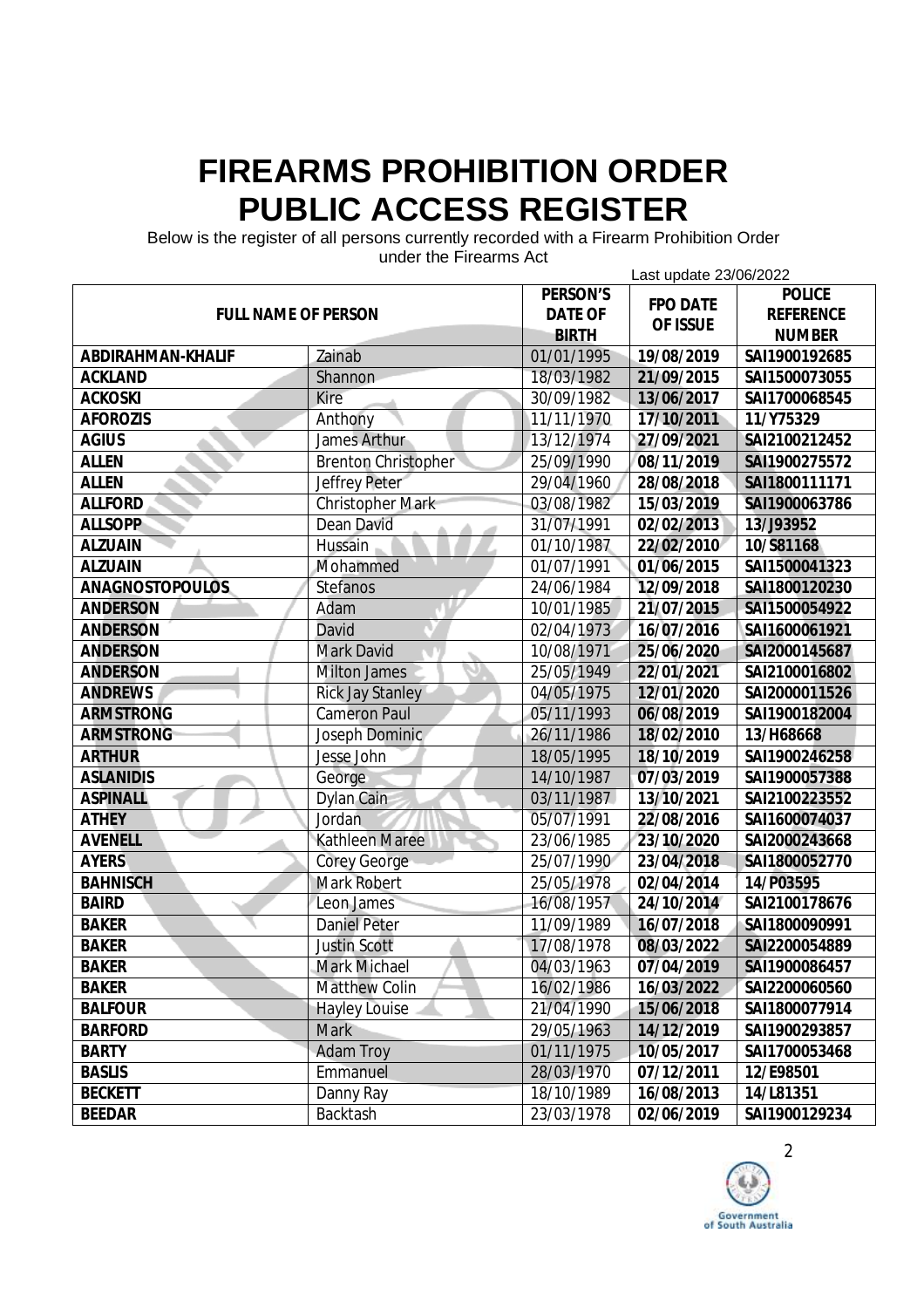Below is the register of all persons currently recorded with a Firearm Prohibition Order

| unuci the Filedinis Act<br>Last update 23/06/2022 |                            |                |                 |                  |
|---------------------------------------------------|----------------------------|----------------|-----------------|------------------|
|                                                   |                            | PERSON'S       | <b>FPO DATE</b> | <b>POLICE</b>    |
| <b>FULL NAME OF PERSON</b>                        |                            | <b>DATE OF</b> | OF ISSUE        | <b>REFERENCE</b> |
|                                                   |                            | <b>BIRTH</b>   |                 | <b>NUMBER</b>    |
| ABDIRAHMAN-KHALIF                                 | Zainab                     | 01/01/1995     | 19/08/2019      | SAI1900192685    |
| <b>ACKLAND</b>                                    | Shannon                    | 18/03/1982     | 21/09/2015      | SAI1500073055    |
| <b>ACKOSKI</b>                                    | <b>Kire</b>                | 30/09/1982     | 13/06/2017      | SAI1700068545    |
| <b>AFOROZIS</b>                                   | Anthony                    | 11/11/1970     | 17/10/2011      | 11/Y75329        |
| <b>AGIUS</b>                                      | <b>James Arthur</b>        | 13/12/1974     | 27/09/2021      | SAI2100212452    |
| <b>ALLEN</b>                                      | <b>Brenton Christopher</b> | 25/09/1990     | 08/11/2019      | SAI1900275572    |
| <b>ALLEN</b>                                      | Jeffrey Peter              | 29/04/1960     | 28/08/2018      | SAI1800111171    |
| <b>ALLFORD</b>                                    | <b>Christopher Mark</b>    | 03/08/1982     | 15/03/2019      | SAI1900063786    |
| <b>ALLSOPP</b>                                    | Dean David                 | 31/07/1991     | 02/02/2013      | 13/J93952        |
| <b>ALZUAIN</b>                                    | Hussain                    | 01/10/1987     | 22/02/2010      | 10/S81168        |
| <b>ALZUAIN</b>                                    | Mohammed                   | 01/07/1991     | 01/06/2015      | SAI1500041323    |
| <b>ANAGNOSTOPOULOS</b>                            | Stefanos                   | 24/06/1984     | 12/09/2018      | SAI1800120230    |
| <b>ANDERSON</b>                                   | Adam                       | 10/01/1985     | 21/07/2015      | SAI1500054922    |
| <b>ANDERSON</b>                                   | David                      | 02/04/1973     | 16/07/2016      | SAI1600061921    |
| <b>ANDERSON</b>                                   | <b>Mark David</b>          | 10/08/1971     | 25/06/2020      | SAI2000145687    |
| <b>ANDERSON</b>                                   | <b>Milton James</b>        | 25/05/1949     | 22/01/2021      | SAI2100016802    |
| <b>ANDREWS</b>                                    | <b>Rick Jay Stanley</b>    | 04/05/1975     | 12/01/2020      | SAI2000011526    |
| <b>ARMSTRONG</b>                                  | <b>Cameron Paul</b>        | 05/11/1993     | 06/08/2019      | SAI1900182004    |
| <b>ARMSTRONG</b>                                  | Joseph Dominic             | 26/11/1986     | 18/02/2010      | 13/H68668        |
| <b>ARTHUR</b>                                     | Jesse John                 | 18/05/1995     | 18/10/2019      | SAI1900246258    |
| <b>ASLANIDIS</b>                                  | George                     | 14/10/1987     | 07/03/2019      | SAI1900057388    |
| <b>ASPINALL</b>                                   | Dylan Cain                 | 03/11/1987     | 13/10/2021      | SAI2100223552    |
| <b>ATHEY</b>                                      | Jordan                     | 05/07/1991     | 22/08/2016      | SAI1600074037    |
| <b>AVENELL</b>                                    | <b>Kathleen Maree</b>      | 23/06/1985     | 23/10/2020      | SAI2000243668    |
| <b>AYERS</b>                                      | <b>Corey George</b>        | 25/07/1990     | 23/04/2018      | SAI1800052770    |
| <b>BAHNISCH</b>                                   | <b>Mark Robert</b>         | 25/05/1978     | 02/04/2014      | 14/P03595        |
| <b>BAIRD</b>                                      | Leon James                 | 16/08/1957     | 24/10/2014      | SAI2100178676    |
| <b>BAKER</b>                                      | <b>Daniel Peter</b>        | 11/09/1989     | 16/07/2018      | SAI1800090991    |
| <b>BAKER</b>                                      | <b>Justin Scott</b>        | 17/08/1978     | 08/03/2022      | SAI2200054889    |
| <b>BAKER</b>                                      | <b>Mark Michael</b>        | 04/03/1963     | 07/04/2019      | SAI1900086457    |
| <b>BAKER</b>                                      | <b>Matthew Colin</b>       | 16/02/1986     | 16/03/2022      | SAI2200060560    |
| <b>BALFOUR</b>                                    | <b>Hayley Louise</b>       | 21/04/1990     | 15/06/2018      | SAI1800077914    |
| <b>BARFORD</b>                                    | <b>Mark</b>                | 29/05/1963     | 14/12/2019      | SAI1900293857    |
| <b>BARTY</b>                                      | <b>Adam Troy</b>           | 01/11/1975     | 10/05/2017      | SAI1700053468    |
| <b>BASLIS</b>                                     | Emmanuel                   | 28/03/1970     | 07/12/2011      | 12/E98501        |
| <b>BECKETT</b>                                    | Danny Ray                  | 18/10/1989     | 16/08/2013      | 14/L81351        |
| <b>BEEDAR</b>                                     | Backtash                   | 23/03/1978     | 02/06/2019      | SAI1900129234    |

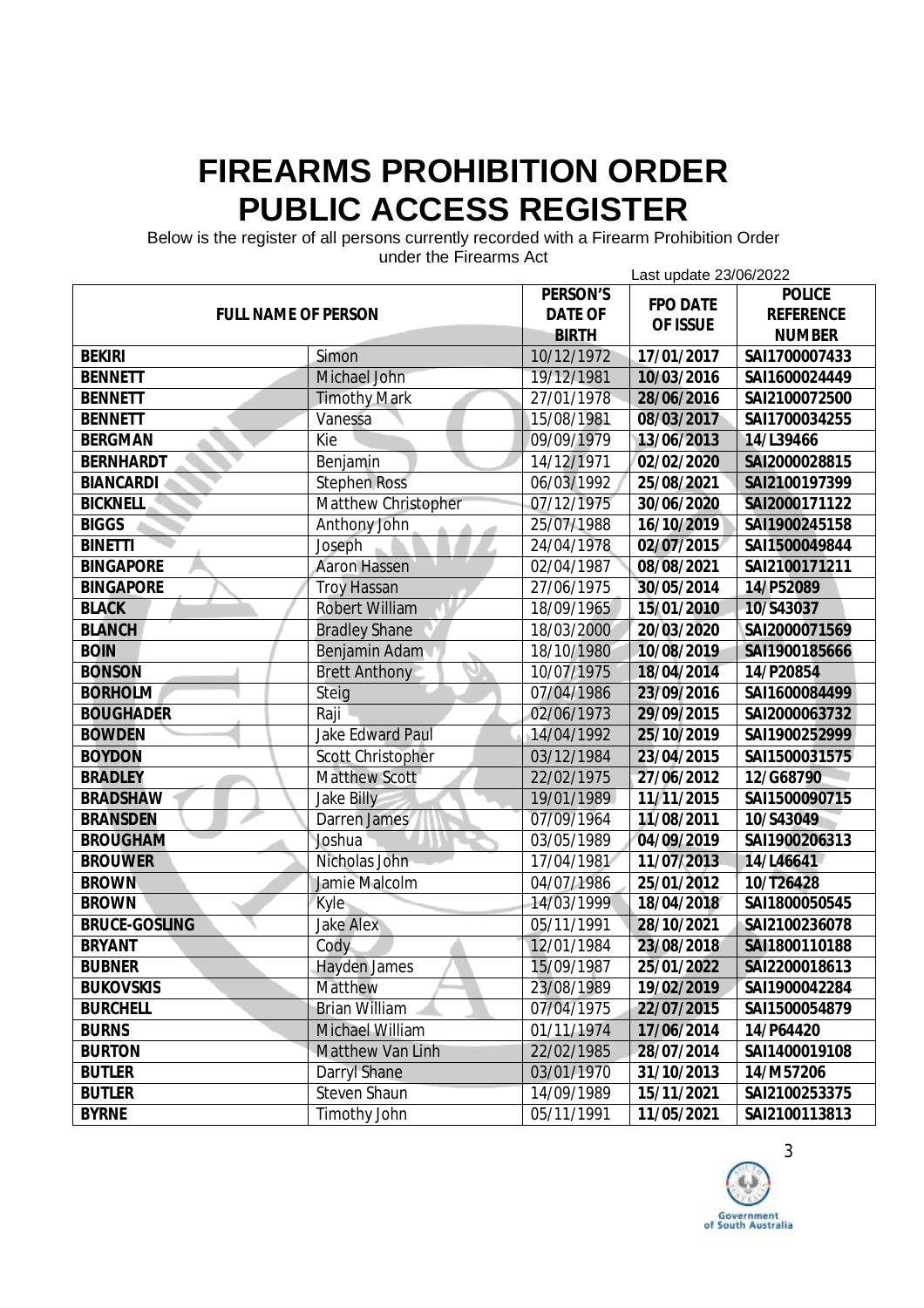Below is the register of all persons currently recorded with a Firearm Prohibition Order

| 911961 1116 1 116811113 ACL<br>Last update 23/06/2022 |                          |                |                 |                  |
|-------------------------------------------------------|--------------------------|----------------|-----------------|------------------|
|                                                       |                          | PERSON'S       |                 | <b>POLICE</b>    |
| <b>FULL NAME OF PERSON</b>                            |                          | <b>DATE OF</b> | <b>FPO DATE</b> | <b>REFERENCE</b> |
|                                                       |                          | <b>BIRTH</b>   | OF ISSUE        | <b>NUMBER</b>    |
| <b>BEKIRI</b>                                         | Simon                    | 10/12/1972     | 17/01/2017      | SAI1700007433    |
| <b>BENNETT</b>                                        | Michael John             | 19/12/1981     | 10/03/2016      | SAI1600024449    |
| <b>BENNETT</b>                                        | <b>Timothy Mark</b>      | 27/01/1978     | 28/06/2016      | SAI2100072500    |
| <b>BENNETT</b>                                        | Vanessa                  | 15/08/1981     | 08/03/2017      | SAI1700034255    |
| <b>BERGMAN</b>                                        | Kie                      | 09/09/1979     | 13/06/2013      | 14/L39466        |
| <b>BERNHARDT</b>                                      | Benjamin                 | 14/12/1971     | 02/02/2020      | SAI2000028815    |
| <b>BIANCARDI</b>                                      | <b>Stephen Ross</b>      | 06/03/1992     | 25/08/2021      | SAI2100197399    |
| <b>BICKNELL</b>                                       | Matthew Christopher      | 07/12/1975     | 30/06/2020      | SAI2000171122    |
| <b>BIGGS</b>                                          | Anthony John             | 25/07/1988     | 16/10/2019      | SAI1900245158    |
| <b>BINETTI</b>                                        | Joseph                   | 24/04/1978     | 02/07/2015      | SAI1500049844    |
| <b>BINGAPORE</b>                                      | <b>Aaron Hassen</b>      | 02/04/1987     | 08/08/2021      | SAI2100171211    |
| <b>BINGAPORE</b>                                      | <b>Troy Hassan</b>       | 27/06/1975     | 30/05/2014      | 14/P52089        |
| <b>BLACK</b>                                          | <b>Robert William</b>    | 18/09/1965     | 15/01/2010      | 10/S43037        |
| <b>BLANCH</b>                                         | <b>Bradley Shane</b>     | 18/03/2000     | 20/03/2020      | SAI2000071569    |
| <b>BOIN</b>                                           | Benjamin Adam            | 18/10/1980     | 10/08/2019      | SAI1900185666    |
| <b>BONSON</b>                                         | <b>Brett Anthony</b>     | 10/07/1975     | 18/04/2014      | 14/P20854        |
| <b>BORHOLM</b>                                        | Steig                    | 07/04/1986     | 23/09/2016      | SAI1600084499    |
| <b>BOUGHADER</b>                                      | Raji                     | 02/06/1973     | 29/09/2015      | SAI2000063732    |
| <b>BOWDEN</b>                                         | <b>Jake Edward Paul</b>  | 14/04/1992     | 25/10/2019      | SAI1900252999    |
| <b>BOYDON</b>                                         | <b>Scott Christopher</b> | 03/12/1984     | 23/04/2015      | SAI1500031575    |
| <b>BRADLEY</b>                                        | <b>Matthew Scott</b>     | 22/02/1975     | 27/06/2012      | 12/G68790        |
| <b>BRADSHAW</b>                                       | <b>Jake Billy</b>        | 19/01/1989     | 11/11/2015      | SAI1500090715    |
| <b>BRANSDEN</b>                                       | Darren James             | 07/09/1964     | 11/08/2011      | 10/S43049        |
| <b>BROUGHAM</b>                                       | Joshua                   | 03/05/1989     | 04/09/2019      | SAI1900206313    |
| <b>BROUWER</b>                                        | Nicholas John            | 17/04/1981     | 11/07/2013      | 14/L46641        |
| <b>BROWN</b>                                          | Jamie Malcolm            | 04/07/1986     | 25/01/2012      | 10/T26428        |
| <b>BROWN</b>                                          | <b>Kyle</b>              | 14/03/1999     | 18/04/2018      | SAI1800050545    |
| <b>BRUCE-GOSLING</b>                                  | <b>Jake Alex</b>         | 05/11/1991     | 28/10/2021      | SAI2100236078    |
| <b>BRYANT</b>                                         | Cody                     | 12/01/1984     | 23/08/2018      | SAI1800110188    |
| <b>BUBNER</b>                                         | <b>Hayden James</b>      | 15/09/1987     | 25/01/2022      | SAI2200018613    |
| <b>BUKOVSKIS</b>                                      | <b>Matthew</b>           | 23/08/1989     | 19/02/2019      | SAI1900042284    |
| <b>BURCHELL</b>                                       | <b>Brian William</b>     | 07/04/1975     | 22/07/2015      | SAI1500054879    |
| <b>BURNS</b>                                          | Michael William          | 01/11/1974     | 17/06/2014      | 14/P64420        |
| <b>BURTON</b>                                         | <b>Matthew Van Linh</b>  | 22/02/1985     | 28/07/2014      | SAI1400019108    |
| <b>BUTLER</b>                                         | <b>Darryl Shane</b>      | 03/01/1970     | 31/10/2013      | 14/M57206        |
| <b>BUTLER</b>                                         | <b>Steven Shaun</b>      | 14/09/1989     | 15/11/2021      | SAI2100253375    |
| <b>BYRNE</b>                                          | <b>Timothy John</b>      | 05/11/1991     | 11/05/2021      | SAI2100113813    |

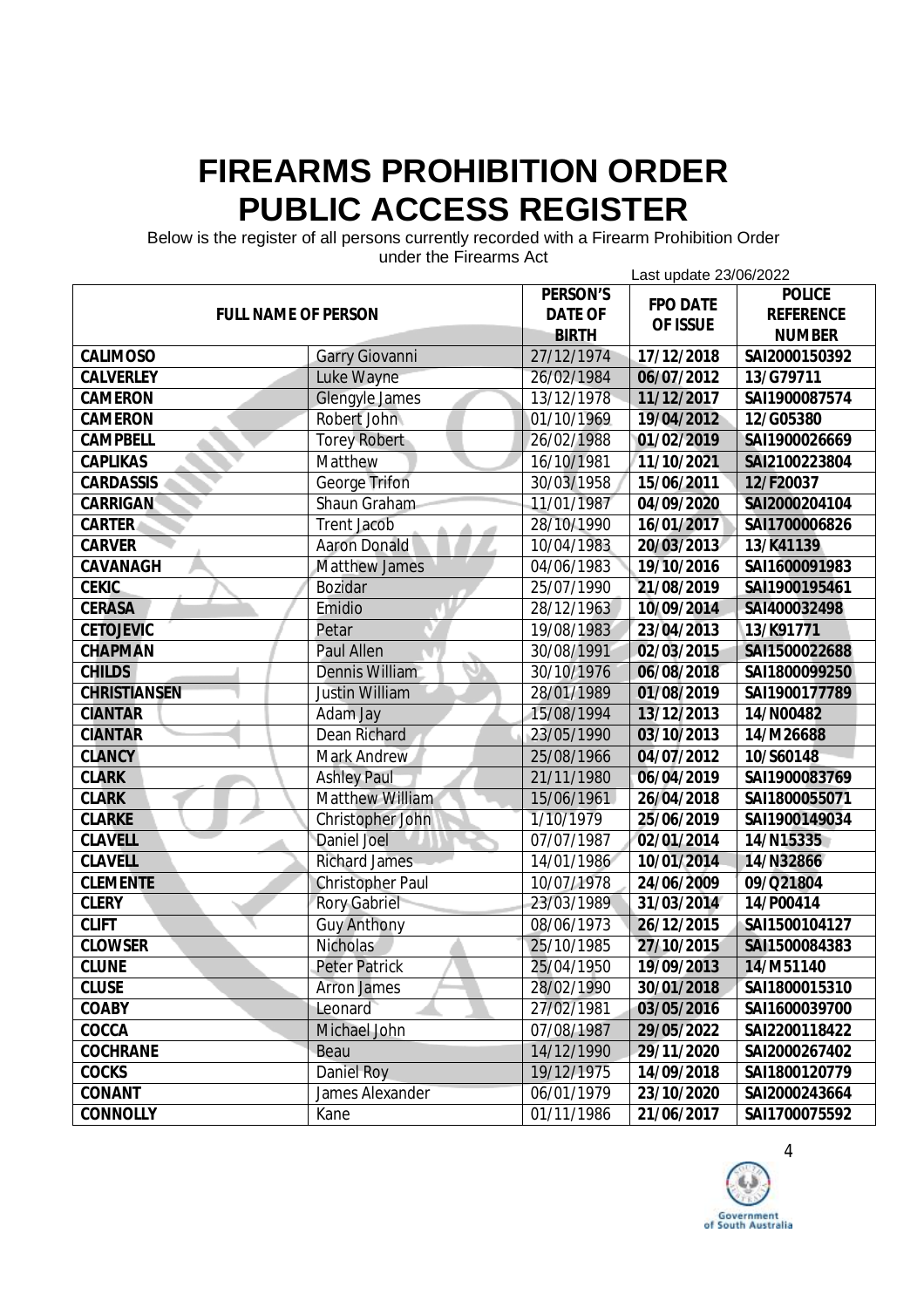Below is the register of all persons currently recorded with a Firearm Prohibition Order

| unuel the Filedinis Aut<br>Last update 23/06/2022 |                         |                 |               |                  |  |
|---------------------------------------------------|-------------------------|-----------------|---------------|------------------|--|
|                                                   | <b>PERSON'S</b>         | <b>FPO DATE</b> | <b>POLICE</b> |                  |  |
| <b>FULL NAME OF PERSON</b>                        |                         | <b>DATE OF</b>  | OF ISSUE      | <b>REFERENCE</b> |  |
|                                                   |                         | <b>BIRTH</b>    |               | <b>NUMBER</b>    |  |
| CALIMOSO                                          | <b>Garry Giovanni</b>   | 27/12/1974      | 17/12/2018    | SAI2000150392    |  |
| <b>CALVERLEY</b>                                  | Luke Wayne              | 26/02/1984      | 06/07/2012    | 13/G79711        |  |
| <b>CAMERON</b>                                    | <b>Glengyle James</b>   | 13/12/1978      | 11/12/2017    | SAI1900087574    |  |
| <b>CAMERON</b>                                    | Robert John             | 01/10/1969      | 19/04/2012    | 12/G05380        |  |
| <b>CAMPBELL</b>                                   | <b>Torey Robert</b>     | 26/02/1988      | 01/02/2019    | SAI1900026669    |  |
| <b>CAPLIKAS</b>                                   | Matthew                 | 16/10/1981      | 11/10/2021    | SAI2100223804    |  |
| <b>CARDASSIS</b>                                  | <b>George Trifon</b>    | 30/03/1958      | 15/06/2011    | 12/F20037        |  |
| <b>CARRIGAN</b>                                   | Shaun Graham            | 11/01/1987      | 04/09/2020    | SAI2000204104    |  |
| <b>CARTER</b>                                     | <b>Trent Jacob</b>      | 28/10/1990      | 16/01/2017    | SAI1700006826    |  |
| <b>CARVER</b>                                     | <b>Aaron Donald</b>     | 10/04/1983      | 20/03/2013    | 13/K41139        |  |
| CAVANAGH                                          | <b>Matthew James</b>    | 04/06/1983      | 19/10/2016    | SAI1600091983    |  |
| <b>CEKIC</b>                                      | <b>Bozidar</b>          | 25/07/1990      | 21/08/2019    | SAI1900195461    |  |
| <b>CERASA</b>                                     | Emidio                  | 28/12/1963      | 10/09/2014    | SAI400032498     |  |
| <b>CETOJEVIC</b>                                  | Petar                   | 19/08/1983      | 23/04/2013    | 13/K91771        |  |
| <b>CHAPMAN</b>                                    | <b>Paul Allen</b>       | 30/08/1991      | 02/03/2015    | SAI1500022688    |  |
| <b>CHILDS</b>                                     | Dennis William          | 30/10/1976      | 06/08/2018    | SAI1800099250    |  |
| <b>CHRISTIANSEN</b>                               | <b>Justin William</b>   | 28/01/1989      | 01/08/2019    | SAI1900177789    |  |
| <b>CIANTAR</b>                                    | Adam Jay                | 15/08/1994      | 13/12/2013    | 14/N00482        |  |
| <b>CIANTAR</b>                                    | <b>Dean Richard</b>     | 23/05/1990      | 03/10/2013    | 14/M26688        |  |
| <b>CLANCY</b>                                     | <b>Mark Andrew</b>      | 25/08/1966      | 04/07/2012    | 10/S60148        |  |
| <b>CLARK</b>                                      | <b>Ashley Paul</b>      | 21/11/1980      | 06/04/2019    | SAI1900083769    |  |
| <b>CLARK</b>                                      | Matthew William         | 15/06/1961      | 26/04/2018    | SAI1800055071    |  |
| <b>CLARKE</b>                                     | Christopher John        | 1/10/1979       | 25/06/2019    | SAI1900149034    |  |
| <b>CLAVELL</b>                                    | <b>Daniel Joel</b>      | 07/07/1987      | 02/01/2014    | 14/N15335        |  |
| <b>CLAVELL</b>                                    | <b>Richard James</b>    | 14/01/1986      | 10/01/2014    | 14/N32866        |  |
| <b>CLEMENTE</b>                                   | <b>Christopher Paul</b> | 10/07/1978      | 24/06/2009    | 09/Q21804        |  |
| <b>CLERY</b>                                      | <b>Rory Gabriel</b>     | 23/03/1989      | 31/03/2014    | 14/P00414        |  |
| <b>CLIFT</b>                                      | <b>Guy Anthony</b>      | 08/06/1973      | 26/12/2015    | SAI1500104127    |  |
| <b>CLOWSER</b>                                    | <b>Nicholas</b>         | 25/10/1985      | 27/10/2015    | SAI1500084383    |  |
| <b>CLUNE</b>                                      | <b>Peter Patrick</b>    | 25/04/1950      | 19/09/2013    | 14/M51140        |  |
| <b>CLUSE</b>                                      | <b>Arron James</b>      | 28/02/1990      | 30/01/2018    | SAI1800015310    |  |
| COABY                                             | Leonard                 | 27/02/1981      | 03/05/2016    | SAI1600039700    |  |
| COCCA                                             | Michael John            | 07/08/1987      | 29/05/2022    | SAI2200118422    |  |
| <b>COCHRANE</b>                                   | Beau                    | 14/12/1990      | 29/11/2020    | SAI2000267402    |  |
| <b>COCKS</b>                                      | <b>Daniel Roy</b>       | 19/12/1975      | 14/09/2018    | SAI1800120779    |  |
| CONANT                                            | James Alexander         | 06/01/1979      | 23/10/2020    | SAI2000243664    |  |
| <b>CONNOLLY</b>                                   | Kane                    | 01/11/1986      | 21/06/2017    | SAI1700075592    |  |

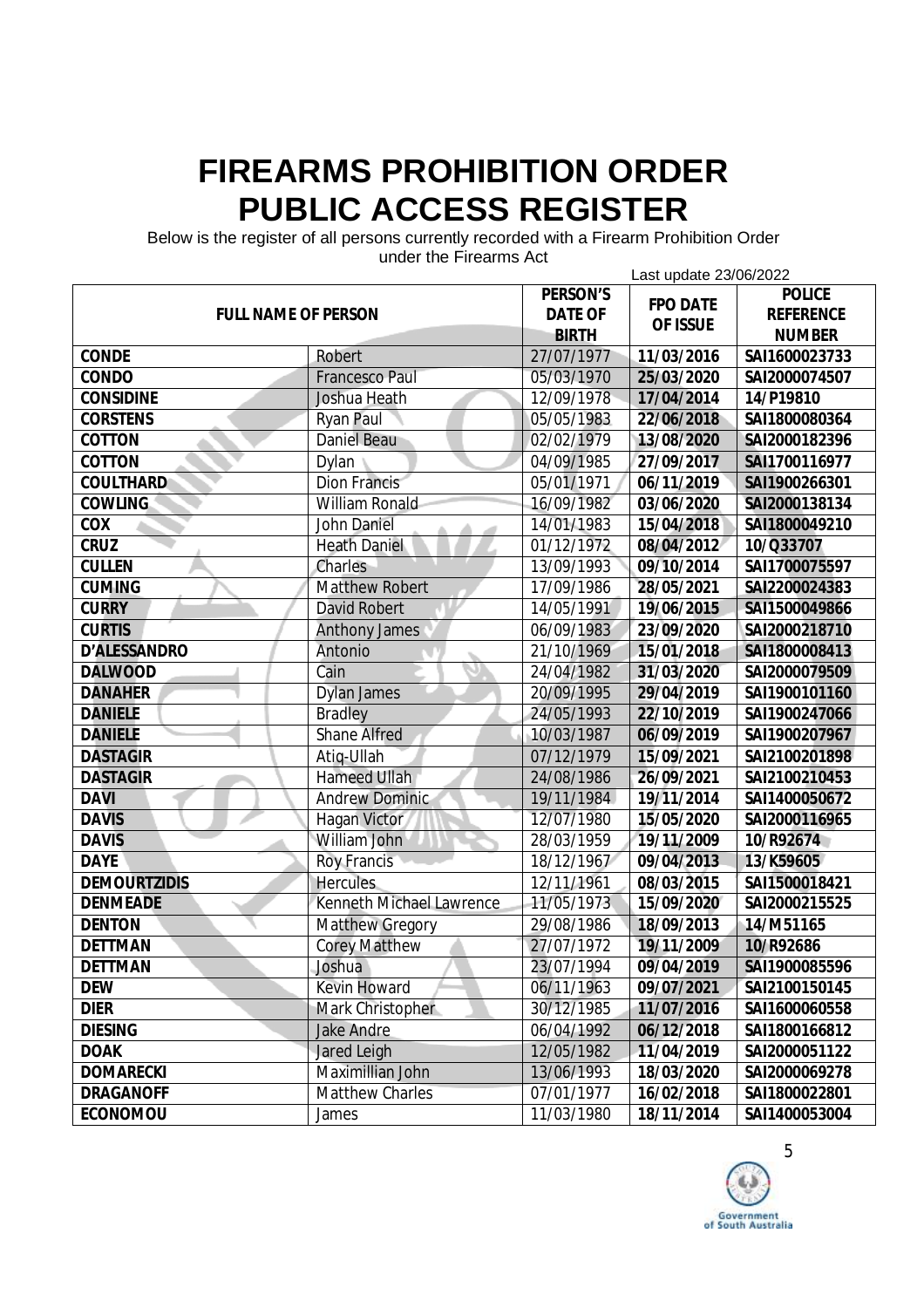Below is the register of all persons currently recorded with a Firearm Prohibition Order

| unuci the Filedinis Act<br>Last update 23/06/2022 |                                 |                |                 |                  |  |
|---------------------------------------------------|---------------------------------|----------------|-----------------|------------------|--|
|                                                   |                                 | PERSON'S       |                 | <b>POLICE</b>    |  |
| <b>FULL NAME OF PERSON</b>                        |                                 | <b>DATE OF</b> | <b>FPO DATE</b> | <b>REFERENCE</b> |  |
|                                                   |                                 | <b>BIRTH</b>   | OF ISSUE        | <b>NUMBER</b>    |  |
| <b>CONDE</b>                                      | Robert                          | 27/07/1977     | 11/03/2016      | SAI1600023733    |  |
| CONDO                                             | <b>Francesco Paul</b>           | 05/03/1970     | 25/03/2020      | SAI2000074507    |  |
| <b>CONSIDINE</b>                                  | Joshua Heath                    | 12/09/1978     | 17/04/2014      | 14/P19810        |  |
| <b>CORSTENS</b>                                   | <b>Ryan Paul</b>                | 05/05/1983     | 22/06/2018      | SAI1800080364    |  |
| COTTON                                            | <b>Daniel Beau</b>              | 02/02/1979     | 13/08/2020      | SAI2000182396    |  |
| COTTON                                            | Dylan                           | 04/09/1985     | 27/09/2017      | SAI1700116977    |  |
| <b>COULTHARD</b>                                  | <b>Dion Francis</b>             | 05/01/1971     | 06/11/2019      | SAI1900266301    |  |
| <b>COWLING</b>                                    | William Ronald                  | 16/09/1982     | 03/06/2020      | SAI2000138134    |  |
| COX                                               | <b>John Daniel</b>              | 14/01/1983     | 15/04/2018      | SAI1800049210    |  |
| <b>CRUZ</b>                                       | <b>Heath Daniel</b>             | 01/12/1972     | 08/04/2012      | 10/Q33707        |  |
| <b>CULLEN</b>                                     | <b>Charles</b>                  | 13/09/1993     | 09/10/2014      | SAI1700075597    |  |
| <b>CUMING</b>                                     | <b>Matthew Robert</b>           | 17/09/1986     | 28/05/2021      | SAI2200024383    |  |
| <b>CURRY</b>                                      | <b>David Robert</b>             | 14/05/1991     | 19/06/2015      | SAI1500049866    |  |
| <b>CURTIS</b>                                     | <b>Anthony James</b>            | 06/09/1983     | 23/09/2020      | SAI2000218710    |  |
| <b>D'ALESSANDRO</b>                               | Antonio                         | 21/10/1969     | 15/01/2018      | SAI1800008413    |  |
| <b>DALWOOD</b>                                    | Cain                            | 24/04/1982     | 31/03/2020      | SAI2000079509    |  |
| <b>DANAHER</b>                                    | <b>Dylan James</b>              | 20/09/1995     | 29/04/2019      | SAI1900101160    |  |
| <b>DANIELE</b>                                    | <b>Bradley</b>                  | 24/05/1993     | 22/10/2019      | SAI1900247066    |  |
| <b>DANIELE</b>                                    | <b>Shane Alfred</b>             | 10/03/1987     | 06/09/2019      | SAI1900207967    |  |
| <b>DASTAGIR</b>                                   | Atiq-Ullah                      | 07/12/1979     | 15/09/2021      | SAI2100201898    |  |
| <b>DASTAGIR</b>                                   | <b>Hameed Ullah</b>             | 24/08/1986     | 26/09/2021      | SAI2100210453    |  |
| <b>DAVI</b>                                       | <b>Andrew Dominic</b>           | 19/11/1984     | 19/11/2014      | SAI1400050672    |  |
| <b>DAVIS</b>                                      | <b>Hagan Victor</b>             | 12/07/1980     | 15/05/2020      | SAI2000116965    |  |
| <b>DAVIS</b>                                      | William John                    | 28/03/1959     | 19/11/2009      | 10/R92674        |  |
| <b>DAYE</b>                                       | <b>Roy Francis</b>              | 18/12/1967     | 09/04/2013      | 13/K59605        |  |
| <b>DEMOURTZIDIS</b>                               | <b>Hercules</b>                 | 12/11/1961     | 08/03/2015      | SAI1500018421    |  |
| <b>DENMEADE</b>                                   | <b>Kenneth Michael Lawrence</b> | 11/05/1973     | 15/09/2020      | SAI2000215525    |  |
| <b>DENTON</b>                                     | <b>Matthew Gregory</b>          | 29/08/1986     | 18/09/2013      | 14/M51165        |  |
| <b>DETTMAN</b>                                    | <b>Corey Matthew</b>            | 27/07/1972     | 19/11/2009      | 10/R92686        |  |
| <b>DETTMAN</b>                                    | Joshua                          | 23/07/1994     | 09/04/2019      | SAI1900085596    |  |
| <b>DEW</b>                                        | <b>Kevin Howard</b>             | 06/11/1963     | 09/07/2021      | SAI2100150145    |  |
| <b>DIER</b>                                       | Mark Christopher                | 30/12/1985     | 11/07/2016      | SAI1600060558    |  |
| <b>DIESING</b>                                    | <b>Jake Andre</b>               | 06/04/1992     | 06/12/2018      | SAI1800166812    |  |
| <b>DOAK</b>                                       | Jared Leigh                     | 12/05/1982     | 11/04/2019      | SAI2000051122    |  |
| <b>DOMARECKI</b>                                  | Maximillian John                | 13/06/1993     | 18/03/2020      | SAI2000069278    |  |
| <b>DRAGANOFF</b>                                  | <b>Matthew Charles</b>          | 07/01/1977     | 16/02/2018      | SAI1800022801    |  |
| <b>ECONOMOU</b>                                   | James                           | 11/03/1980     | 18/11/2014      | SAI1400053004    |  |

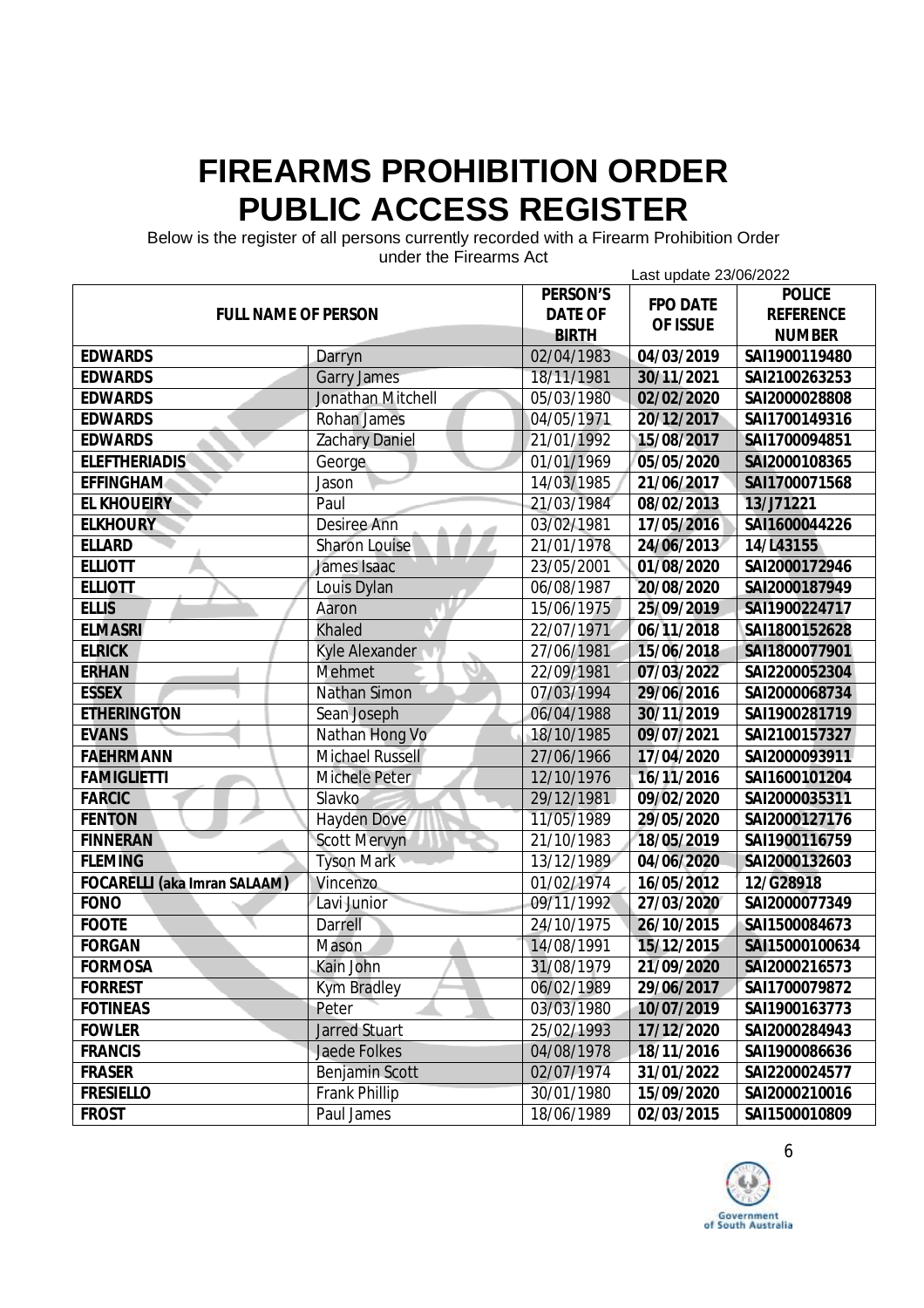Below is the register of all persons currently recorded with a Firearm Prohibition Order

| unuci the Filedinis Act<br>Last update 23/06/2022 |                        |                |                 |                  |
|---------------------------------------------------|------------------------|----------------|-----------------|------------------|
|                                                   |                        | PERSON'S       | <b>FPO DATE</b> | <b>POLICE</b>    |
| <b>FULL NAME OF PERSON</b>                        |                        | <b>DATE OF</b> |                 | <b>REFERENCE</b> |
|                                                   |                        | <b>BIRTH</b>   | OF ISSUE        | <b>NUMBER</b>    |
| <b>EDWARDS</b>                                    | Darryn                 | 02/04/1983     | 04/03/2019      | SAI1900119480    |
| <b>EDWARDS</b>                                    | <b>Garry James</b>     | 18/11/1981     | 30/11/2021      | SAI2100263253    |
| <b>EDWARDS</b>                                    | Jonathan Mitchell      | 05/03/1980     | 02/02/2020      | SAI2000028808    |
| <b>EDWARDS</b>                                    | <b>Rohan James</b>     | 04/05/1971     | 20/12/2017      | SAI1700149316    |
| <b>EDWARDS</b>                                    | <b>Zachary Daniel</b>  | 21/01/1992     | 15/08/2017      | SAI1700094851    |
| <b>ELEFTHERIADIS</b>                              | George                 | 01/01/1969     | 05/05/2020      | SAI2000108365    |
| <b>EFFINGHAM</b>                                  | Jason                  | 14/03/1985     | 21/06/2017      | SAI1700071568    |
| <b>EL KHOUEIRY</b>                                | Paul                   | 21/03/1984     | 08/02/2013      | 13/J71221        |
| <b>ELKHOURY</b>                                   | <b>Desiree Ann</b>     | 03/02/1981     | 17/05/2016      | SAI1600044226    |
| <b>ELLARD</b>                                     | <b>Sharon Louise</b>   | 21/01/1978     | 24/06/2013      | 14/L43155        |
| <b>ELLIOTT</b>                                    | James Isaac            | 23/05/2001     | 01/08/2020      | SAI2000172946    |
| <b>ELLIOTT</b>                                    | Louis Dylan            | 06/08/1987     | 20/08/2020      | SAI2000187949    |
| <b>ELLIS</b>                                      | Aaron                  | 15/06/1975     | 25/09/2019      | SAI1900224717    |
| <b>ELMASRI</b>                                    | <b>Khaled</b>          | 22/07/1971     | 06/11/2018      | SAI1800152628    |
| <b>ELRICK</b>                                     | <b>Kyle Alexander</b>  | 27/06/1981     | 15/06/2018      | SAI1800077901    |
| <b>ERHAN</b>                                      | <b>Mehmet</b>          | 22/09/1981     | 07/03/2022      | SAI2200052304    |
| <b>ESSEX</b>                                      | <b>Nathan Simon</b>    | 07/03/1994     | 29/06/2016      | SAI2000068734    |
| <b>ETHERINGTON</b>                                | Sean Joseph            | 06/04/1988     | 30/11/2019      | SAI1900281719    |
| <b>EVANS</b>                                      | Nathan Hong Vo         | 18/10/1985     | 09/07/2021      | SAI2100157327    |
| <b>FAEHRMANN</b>                                  | <b>Michael Russell</b> | 27/06/1966     | 17/04/2020      | SAI2000093911    |
| <b>FAMIGLIETTI</b>                                | Michele Peter          | 12/10/1976     | 16/11/2016      | SAI1600101204    |
| <b>FARCIC</b>                                     | Slavko                 | 29/12/1981     | 09/02/2020      | SAI2000035311    |
| <b>FENTON</b>                                     | <b>Hayden Dove</b>     | 11/05/1989     | 29/05/2020      | SAI2000127176    |
| <b>FINNERAN</b>                                   | <b>Scott Mervyn</b>    | 21/10/1983     | 18/05/2019      | SAI1900116759    |
| <b>FLEMING</b>                                    | <b>Tyson Mark</b>      | 13/12/1989     | 04/06/2020      | SAI2000132603    |
| <b>FOCARELLI</b> (aka Imran SALAAM)               | Vincenzo               | 01/02/1974     | 16/05/2012      | 12/G28918        |
| <b>FONO</b>                                       | Lavi Junior            | 09/11/1992     | 27/03/2020      | SAI2000077349    |
| <b>FOOTE</b>                                      | <b>Darrell</b>         | 24/10/1975     | 26/10/2015      | SAI1500084673    |
| <b>FORGAN</b>                                     | Mason                  | 14/08/1991     | 15/12/2015      | SAI15000100634   |
| <b>FORMOSA</b>                                    | Kain John              | 31/08/1979     | 21/09/2020      | SAI2000216573    |
| <b>FORREST</b>                                    | Kym Bradley            | 06/02/1989     | 29/06/2017      | SAI1700079872    |
| <b>FOTINEAS</b>                                   | Peter                  | 03/03/1980     | 10/07/2019      | SAI1900163773    |
| <b>FOWLER</b>                                     | <b>Jarred Stuart</b>   | 25/02/1993     | 17/12/2020      | SAI2000284943    |
| <b>FRANCIS</b>                                    | Jaede Folkes           | 04/08/1978     | 18/11/2016      | SAI1900086636    |
| <b>FRASER</b>                                     | Benjamin Scott         | 02/07/1974     | 31/01/2022      | SAI2200024577    |
| <b>FRESIELLO</b>                                  | <b>Frank Phillip</b>   | 30/01/1980     | 15/09/2020      | SAI2000210016    |
| <b>FROST</b>                                      | Paul James             | 18/06/1989     | 02/03/2015      | SAI1500010809    |

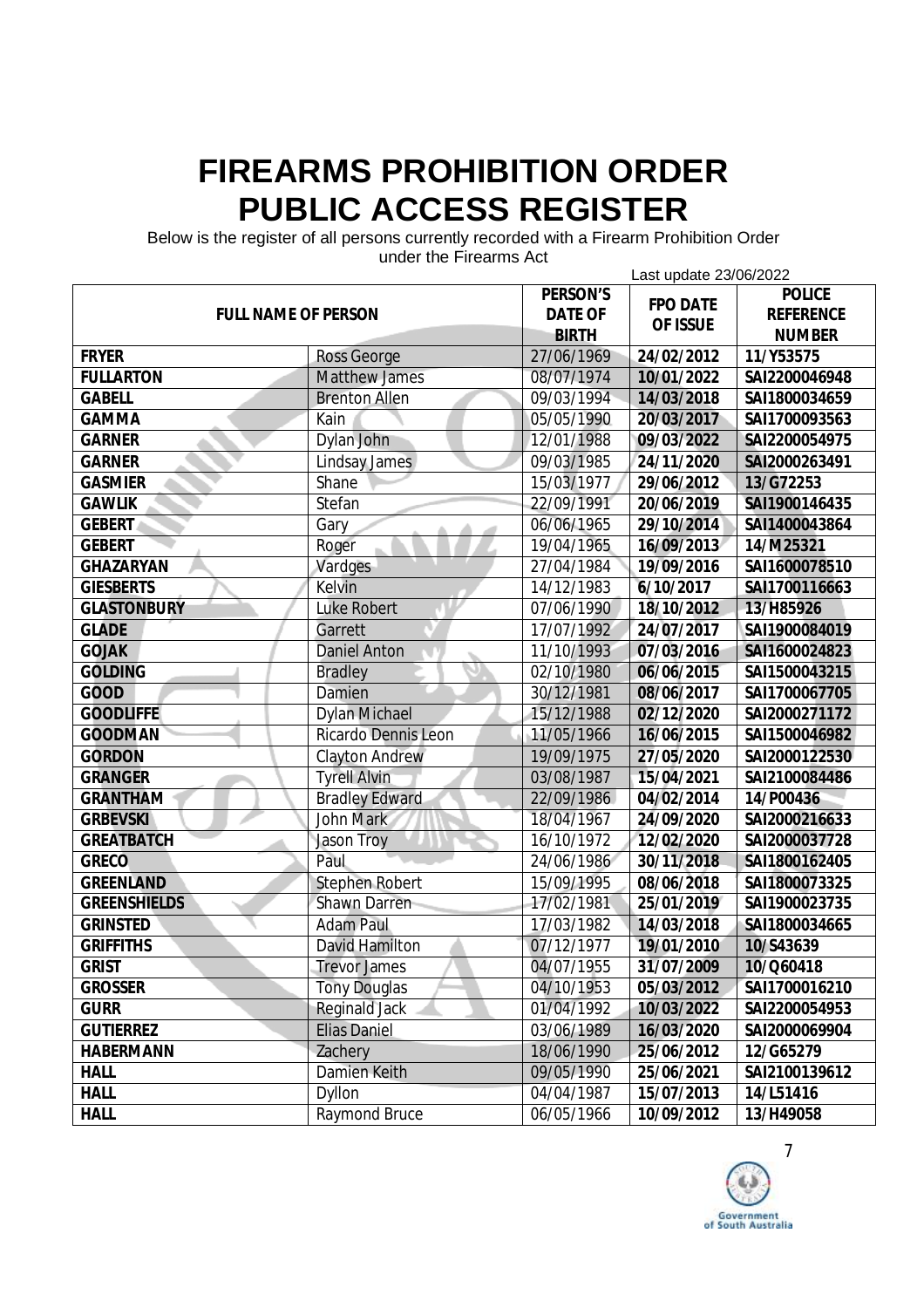Below is the register of all persons currently recorded with a Firearm Prohibition Order

|                            | unuel the Filedinis Aut    |                 | Last update 23/06/2022 |                  |
|----------------------------|----------------------------|-----------------|------------------------|------------------|
|                            |                            | <b>PERSON'S</b> | <b>FPO DATE</b>        | <b>POLICE</b>    |
| <b>FULL NAME OF PERSON</b> |                            | <b>DATE OF</b>  | OF ISSUE               | <b>REFERENCE</b> |
|                            |                            | <b>BIRTH</b>    |                        | <b>NUMBER</b>    |
| <b>FRYER</b>               | <b>Ross George</b>         | 27/06/1969      | 24/02/2012             | 11/Y53575        |
| <b>FULLARTON</b>           | <b>Matthew James</b>       | 08/07/1974      | 10/01/2022             | SAI2200046948    |
| <b>GABELL</b>              | <b>Brenton Allen</b>       | 09/03/1994      | 14/03/2018             | SAI1800034659    |
| <b>GAMMA</b>               | Kain                       | 05/05/1990      | 20/03/2017             | SAI1700093563    |
| <b>GARNER</b>              | Dylan John                 | 12/01/1988      | 09/03/2022             | SAI2200054975    |
| <b>GARNER</b>              | Lindsay James              | 09/03/1985      | 24/11/2020             | SAI2000263491    |
| <b>GASMIER</b>             | Shane                      | 15/03/1977      | 29/06/2012             | 13/G72253        |
| <b>GAWLIK</b>              | Stefan                     | 22/09/1991      | 20/06/2019             | SAI1900146435    |
| <b>GEBERT</b>              | Gary                       | 06/06/1965      | 29/10/2014             | SAI1400043864    |
| <b>GEBERT</b>              | Roger                      | 19/04/1965      | 16/09/2013             | 14/M25321        |
| <b>GHAZARYAN</b>           | Vardges                    | 27/04/1984      | 19/09/2016             | SAI1600078510    |
| <b>GIESBERTS</b>           | Kelvin                     | 14/12/1983      | 6/10/2017              | SAI1700116663    |
| <b>GLASTONBURY</b>         | <b>Luke Robert</b>         | 07/06/1990      | 18/10/2012             | 13/H85926        |
| <b>GLADE</b>               | Garrett                    | 17/07/1992      | 24/07/2017             | SAI1900084019    |
| <b>GOJAK</b>               | <b>Daniel Anton</b>        | 11/10/1993      | 07/03/2016             | SAI1600024823    |
| <b>GOLDING</b>             | <b>Bradley</b>             | 02/10/1980      | 06/06/2015             | SAI1500043215    |
| <b>GOOD</b>                | Damien                     | 30/12/1981      | 08/06/2017             | SAI1700067705    |
| <b>GOODLIFFE</b>           | <b>Dylan Michael</b>       | 15/12/1988      | 02/12/2020             | SAI2000271172    |
| <b>GOODMAN</b>             | <b>Ricardo Dennis Leon</b> | 11/05/1966      | 16/06/2015             | SAI1500046982    |
| <b>GORDON</b>              | <b>Clayton Andrew</b>      | 19/09/1975      | 27/05/2020             | SAI2000122530    |
| <b>GRANGER</b>             | <b>Tyrell Alvin</b>        | 03/08/1987      | 15/04/2021             | SAI2100084486    |
| <b>GRANTHAM</b>            | <b>Bradley Edward</b>      | 22/09/1986      | 04/02/2014             | 14/P00436        |
| <b>GRBEVSKI</b>            | <b>John Mark</b>           | 18/04/1967      | 24/09/2020             | SAI2000216633    |
| <b>GREATBATCH</b>          | <b>Jason Troy</b>          | 16/10/1972      | 12/02/2020             | SAI2000037728    |
| <b>GRECO</b>               | Paul                       | 24/06/1986      | 30/11/2018             | SAI1800162405    |
| <b>GREENLAND</b>           | <b>Stephen Robert</b>      | 15/09/1995      | 08/06/2018             | SAI1800073325    |
| <b>GREENSHIELDS</b>        | <b>Shawn Darren</b>        | 17/02/1981      | 25/01/2019             | SAI1900023735    |
| <b>GRINSTED</b>            | <b>Adam Paul</b>           | 17/03/1982      | 14/03/2018             | SAI1800034665    |
| <b>GRIFFITHS</b>           | <b>David Hamilton</b>      | 07/12/1977      | 19/01/2010             | 10/S43639        |
| <b>GRIST</b>               | <b>Trevor James</b>        | 04/07/1955      | 31/07/2009             | 10/Q60418        |
| <b>GROSSER</b>             | <b>Tony Douglas</b>        | 04/10/1953      | 05/03/2012             | SAI1700016210    |
| <b>GURR</b>                | <b>Reginald Jack</b>       | 01/04/1992      | 10/03/2022             | SAI2200054953    |
| <b>GUTIERREZ</b>           | <b>Elias Daniel</b>        | 03/06/1989      | 16/03/2020             | SAI2000069904    |
| <b>HABERMANN</b>           | Zachery                    | 18/06/1990      | 25/06/2012             | 12/G65279        |
| <b>HALL</b>                | Damien Keith               | 09/05/1990      | 25/06/2021             | SAI2100139612    |
| <b>HALL</b>                | <b>Dyllon</b>              | 04/04/1987      | 15/07/2013             | 14/L51416        |
| <b>HALL</b>                | <b>Raymond Bruce</b>       | 06/05/1966      | 10/09/2012             | 13/H49058        |

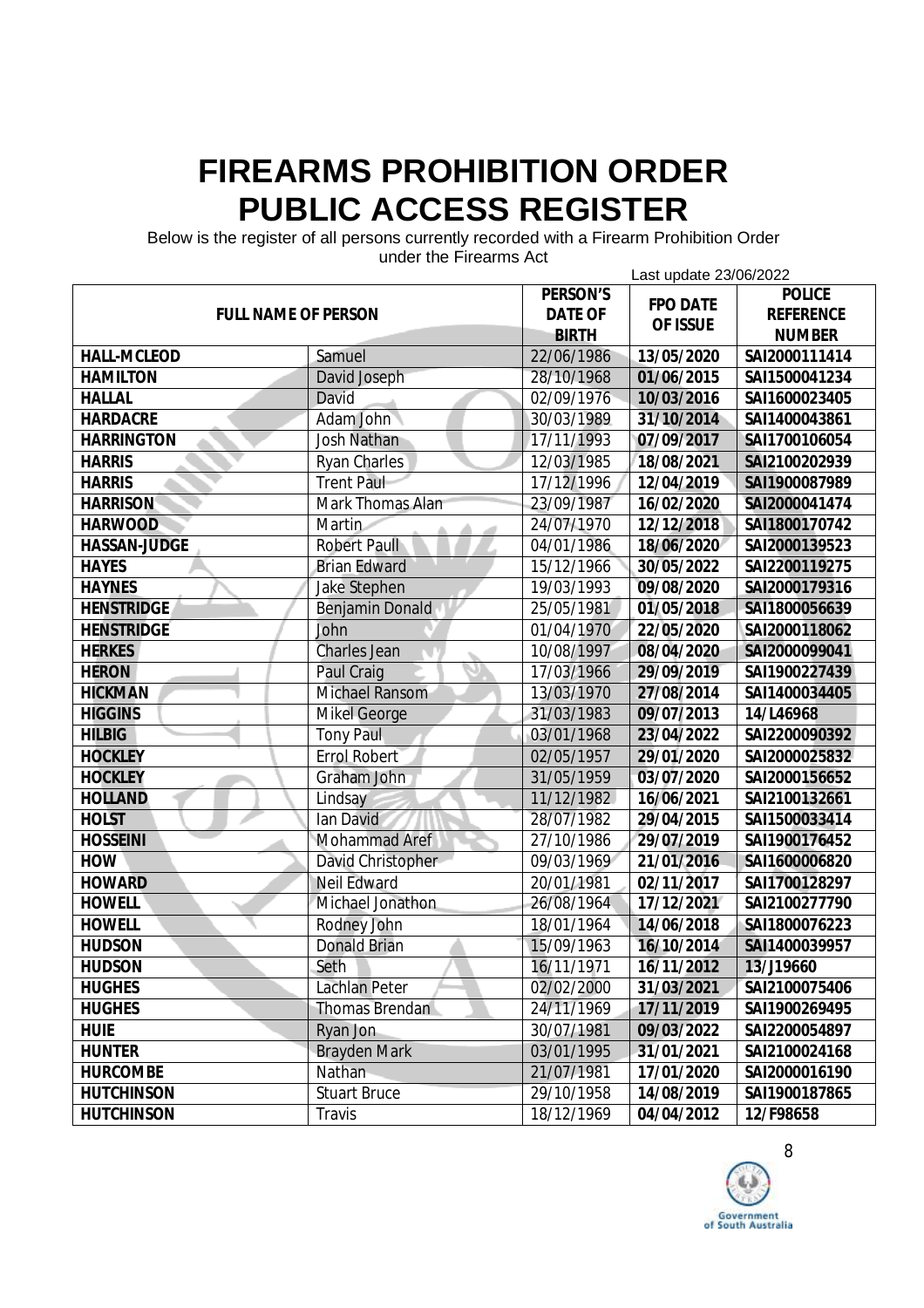Below is the register of all persons currently recorded with a Firearm Prohibition Order

| unuci the Filedinis Act<br>Last update 23/06/2022 |                         |                |                 |                  |  |
|---------------------------------------------------|-------------------------|----------------|-----------------|------------------|--|
|                                                   |                         | PERSON'S       |                 | <b>POLICE</b>    |  |
| <b>FULL NAME OF PERSON</b>                        |                         | <b>DATE OF</b> | <b>FPO DATE</b> | <b>REFERENCE</b> |  |
|                                                   |                         | <b>BIRTH</b>   | OF ISSUE        | <b>NUMBER</b>    |  |
| <b>HALL-MCLEOD</b>                                | Samuel                  | 22/06/1986     | 13/05/2020      | SAI2000111414    |  |
| <b>HAMILTON</b>                                   | David Joseph            | 28/10/1968     | 01/06/2015      | SAI1500041234    |  |
| <b>HALLAL</b>                                     | David                   | 02/09/1976     | 10/03/2016      | SAI1600023405    |  |
| <b>HARDACRE</b>                                   | Adam John               | 30/03/1989     | 31/10/2014      | SAI1400043861    |  |
| <b>HARRINGTON</b>                                 | <b>Josh Nathan</b>      | 17/11/1993     | 07/09/2017      | SAI1700106054    |  |
| <b>HARRIS</b>                                     | <b>Ryan Charles</b>     | 12/03/1985     | 18/08/2021      | SAI2100202939    |  |
| <b>HARRIS</b>                                     | <b>Trent Paul</b>       | 17/12/1996     | 12/04/2019      | SAI1900087989    |  |
| <b>HARRISON</b>                                   | <b>Mark Thomas Alan</b> | 23/09/1987     | 16/02/2020      | SAI2000041474    |  |
| <b>HARWOOD</b>                                    | Martin                  | 24/07/1970     | 12/12/2018      | SAI1800170742    |  |
| <b>HASSAN-JUDGE</b>                               | <b>Robert Paull</b>     | 04/01/1986     | 18/06/2020      | SAI2000139523    |  |
| <b>HAYES</b>                                      | <b>Brian Edward</b>     | 15/12/1966     | 30/05/2022      | SAI2200119275    |  |
| <b>HAYNES</b>                                     | <b>Jake Stephen</b>     | 19/03/1993     | 09/08/2020      | SAI2000179316    |  |
| <b>HENSTRIDGE</b>                                 | <b>Benjamin Donald</b>  | 25/05/1981     | 01/05/2018      | SAI1800056639    |  |
| <b>HENSTRIDGE</b>                                 | John                    | 01/04/1970     | 22/05/2020      | SAI2000118062    |  |
| <b>HERKES</b>                                     | <b>Charles Jean</b>     | 10/08/1997     | 08/04/2020      | SAI2000099041    |  |
| <b>HERON</b>                                      | Paul Craig              | 17/03/1966     | 29/09/2019      | SAI1900227439    |  |
| <b>HICKMAN</b>                                    | <b>Michael Ransom</b>   | 13/03/1970     | 27/08/2014      | SAI1400034405    |  |
| <b>HIGGINS</b>                                    | <b>Mikel George</b>     | 31/03/1983     | 09/07/2013      | 14/L46968        |  |
| <b>HILBIG</b>                                     | <b>Tony Paul</b>        | 03/01/1968     | 23/04/2022      | SAI2200090392    |  |
| <b>HOCKLEY</b>                                    | <b>Errol Robert</b>     | 02/05/1957     | 29/01/2020      | SAI2000025832    |  |
| <b>HOCKLEY</b>                                    | Graham John             | 31/05/1959     | 03/07/2020      | SAI2000156652    |  |
| <b>HOLLAND</b>                                    | Lindsay                 | 11/12/1982     | 16/06/2021      | SAI2100132661    |  |
| <b>HOLST</b>                                      | Ian David               | 28/07/1982     | 29/04/2015      | SAI1500033414    |  |
| <b>HOSSEINI</b>                                   | <b>Mohammad Aref</b>    | 27/10/1986     | 29/07/2019      | SAI1900176452    |  |
| HOW                                               | David Christopher       | 09/03/1969     | 21/01/2016      | SAI1600006820    |  |
| <b>HOWARD</b>                                     | <b>Neil Edward</b>      | 20/01/1981     | 02/11/2017      | SAI1700128297    |  |
| <b>HOWELL</b>                                     | Michael Jonathon        | 26/08/1964     | 17/12/2021      | SAI2100277790    |  |
| <b>HOWELL</b>                                     | Rodney John             | 18/01/1964     | 14/06/2018      | SAI1800076223    |  |
| <b>HUDSON</b>                                     | <b>Donald Brian</b>     | 15/09/1963     | 16/10/2014      | SAI1400039957    |  |
| <b>HUDSON</b>                                     | Seth                    | 16/11/1971     | 16/11/2012      | 13/J19660        |  |
| <b>HUGHES</b>                                     | Lachlan Peter           | 02/02/2000     | 31/03/2021      | SAI2100075406    |  |
| <b>HUGHES</b>                                     | Thomas Brendan          | 24/11/1969     | 17/11/2019      | SAI1900269495    |  |
| <b>HUIE</b>                                       | Ryan Jon                | 30/07/1981     | 09/03/2022      | SAI2200054897    |  |
| <b>HUNTER</b>                                     | <b>Brayden Mark</b>     | 03/01/1995     | 31/01/2021      | SAI2100024168    |  |
| <b>HURCOMBE</b>                                   | Nathan                  | 21/07/1981     | 17/01/2020      | SAI2000016190    |  |
| <b>HUTCHINSON</b>                                 | <b>Stuart Bruce</b>     | 29/10/1958     | 14/08/2019      | SAI1900187865    |  |
| <b>HUTCHINSON</b>                                 | <b>Travis</b>           | 18/12/1969     | 04/04/2012      | 12/F98658        |  |

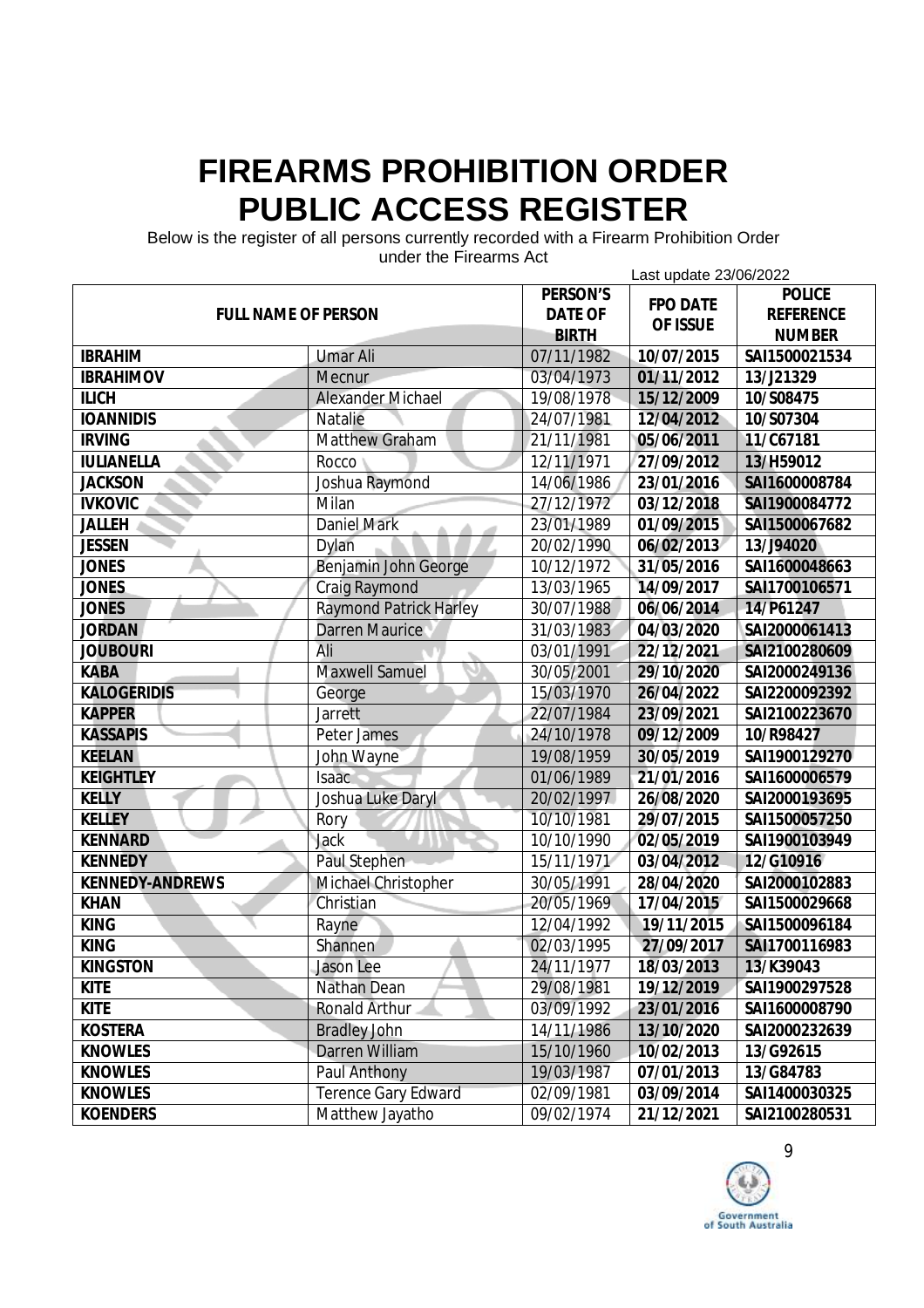Below is the register of all persons currently recorded with a Firearm Prohibition Order

| unuci the Filedinis Act<br>Last update 23/06/2022 |                               |                 |                 |                  |
|---------------------------------------------------|-------------------------------|-----------------|-----------------|------------------|
|                                                   |                               | <b>PERSON'S</b> | <b>FPO DATE</b> | <b>POLICE</b>    |
| <b>FULL NAME OF PERSON</b>                        |                               | <b>DATE OF</b>  | OF ISSUE        | <b>REFERENCE</b> |
|                                                   |                               | <b>BIRTH</b>    |                 | <b>NUMBER</b>    |
| <b>IBRAHIM</b>                                    | <b>Umar Ali</b>               | 07/11/1982      | 10/07/2015      | SAI1500021534    |
| <b>IBRAHIMOV</b>                                  | <b>Mecnur</b>                 | 03/04/1973      | 01/11/2012      | 13/J21329        |
| <b>ILICH</b>                                      | <b>Alexander Michael</b>      | 19/08/1978      | 15/12/2009      | 10/S08475        |
| <b>IOANNIDIS</b>                                  | <b>Natalie</b>                | 24/07/1981      | 12/04/2012      | 10/S07304        |
| <b>IRVING</b>                                     | <b>Matthew Graham</b>         | 21/11/1981      | 05/06/2011      | 11/C67181        |
| <b>IULIANELLA</b>                                 | Rocco                         | 12/11/1971      | 27/09/2012      | 13/H59012        |
| <b>JACKSON</b>                                    | Joshua Raymond                | 14/06/1986      | 23/01/2016      | SAI1600008784    |
| <b>IVKOVIC</b>                                    | Milan                         | 27/12/1972      | 03/12/2018      | SAI1900084772    |
| <b>JALLEH</b>                                     | <b>Daniel Mark</b>            | 23/01/1989      | 01/09/2015      | SAI1500067682    |
| <b>JESSEN</b>                                     | Dylan                         | 20/02/1990      | 06/02/2013      | 13/J94020        |
| <b>JONES</b>                                      | Benjamin John George          | 10/12/1972      | 31/05/2016      | SAI1600048663    |
| <b>JONES</b>                                      | <b>Craig Raymond</b>          | 13/03/1965      | 14/09/2017      | SAI1700106571    |
| <b>JONES</b>                                      | <b>Raymond Patrick Harley</b> | 30/07/1988      | 06/06/2014      | 14/P61247        |
| <b>JORDAN</b>                                     | Darren Maurice                | 31/03/1983      | 04/03/2020      | SAI2000061413    |
| <b>JOUBOURI</b>                                   | Ali                           | 03/01/1991      | 22/12/2021      | SAI2100280609    |
| <b>KABA</b>                                       | <b>Maxwell Samuel</b>         | 30/05/2001      | 29/10/2020      | SAI2000249136    |
| <b>KALOGERIDIS</b>                                | George                        | 15/03/1970      | 26/04/2022      | SAI2200092392    |
| <b>KAPPER</b>                                     | <b>Jarrett</b>                | 22/07/1984      | 23/09/2021      | SAI2100223670    |
| <b>KASSAPIS</b>                                   | Peter James                   | 24/10/1978      | 09/12/2009      | 10/R98427        |
| <b>KEELAN</b>                                     | John Wayne                    | 19/08/1959      | 30/05/2019      | SAI1900129270    |
| <b>KEIGHTLEY</b>                                  | <b>Isaac</b>                  | 01/06/1989      | 21/01/2016      | SAI1600006579    |
| <b>KELLY</b>                                      | Joshua Luke Daryl             | 20/02/1997      | 26/08/2020      | SAI2000193695    |
| <b>KELLEY</b>                                     | Rory                          | 10/10/1981      | 29/07/2015      | SAI1500057250    |
| <b>KENNARD</b>                                    | <b>Jack</b>                   | 10/10/1990      | 02/05/2019      | SAI1900103949    |
| <b>KENNEDY</b>                                    | Paul Stephen                  | 15/11/1971      | 03/04/2012      | 12/G10916        |
| <b>KENNEDY-ANDREWS</b>                            | Michael Christopher           | 30/05/1991      | 28/04/2020      | SAI2000102883    |
| <b>KHAN</b>                                       | Christian                     | 20/05/1969      | 17/04/2015      | SAI1500029668    |
| <b>KING</b>                                       | Rayne                         | 12/04/1992      | 19/11/2015      | SAI1500096184    |
| <b>KING</b>                                       | Shannen                       | 02/03/1995      | 27/09/2017      | SAI1700116983    |
| <b>KINGSTON</b>                                   | Jason Lee                     | 24/11/1977      | 18/03/2013      | 13/K39043        |
| <b>KITE</b>                                       | Nathan Dean                   | 29/08/1981      | 19/12/2019      | SAI1900297528    |
| <b>KITE</b>                                       | Ronald Arthur                 | 03/09/1992      | 23/01/2016      | SAI1600008790    |
| <b>KOSTERA</b>                                    | <b>Bradley John</b>           | 14/11/1986      | 13/10/2020      | SAI2000232639    |
| <b>KNOWLES</b>                                    | Darren William                | 15/10/1960      | 10/02/2013      | 13/G92615        |
| <b>KNOWLES</b>                                    | <b>Paul Anthony</b>           | 19/03/1987      | 07/01/2013      | 13/G84783        |
| <b>KNOWLES</b>                                    | <b>Terence Gary Edward</b>    | 02/09/1981      | 03/09/2014      | SAI1400030325    |
| <b>KOENDERS</b>                                   | Matthew Jayatho               | 09/02/1974      | 21/12/2021      | SAI2100280531    |

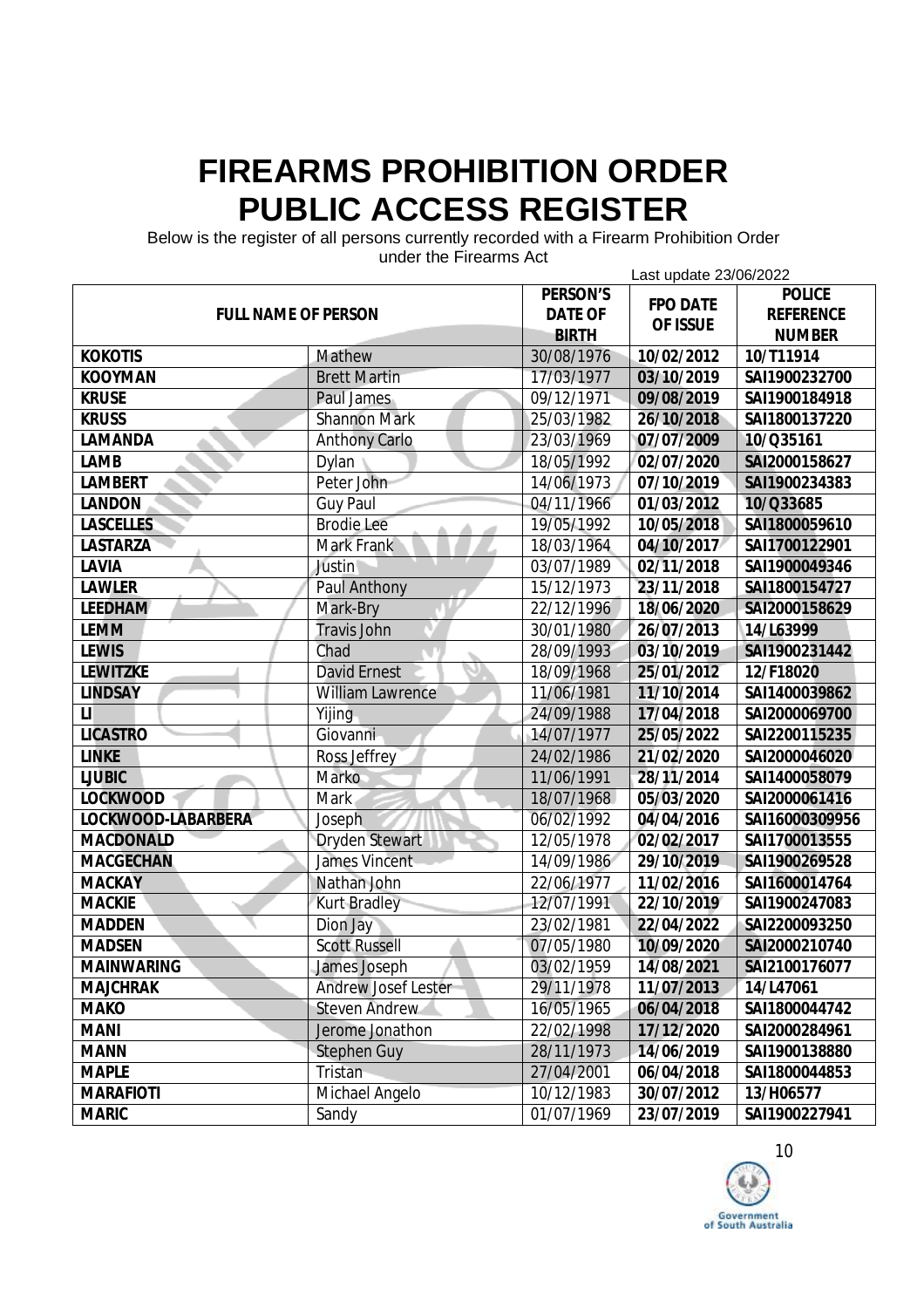Below is the register of all persons currently recorded with a Firearm Prohibition Order

| unuci the Filedinis Act<br>Last update 23/06/2022 |                            |                |                 |                  |
|---------------------------------------------------|----------------------------|----------------|-----------------|------------------|
|                                                   |                            | PERSON'S       |                 | <b>POLICE</b>    |
| <b>FULL NAME OF PERSON</b>                        |                            | <b>DATE OF</b> | <b>FPO DATE</b> | <b>REFERENCE</b> |
|                                                   |                            | <b>BIRTH</b>   | OF ISSUE        | <b>NUMBER</b>    |
| <b>KOKOTIS</b>                                    | Mathew                     | 30/08/1976     | 10/02/2012      | 10/T11914        |
| <b>KOOYMAN</b>                                    | <b>Brett Martin</b>        | 17/03/1977     | 03/10/2019      | SAI1900232700    |
| <b>KRUSE</b>                                      | Paul James                 | 09/12/1971     | 09/08/2019      | SAI1900184918    |
| <b>KRUSS</b>                                      | <b>Shannon Mark</b>        | 25/03/1982     | 26/10/2018      | SAI1800137220    |
| LAMANDA                                           | <b>Anthony Carlo</b>       | 23/03/1969     | 07/07/2009      | 10/Q35161        |
| LAMB                                              | Dylan                      | 18/05/1992     | 02/07/2020      | SAI2000158627    |
| <b>LAMBERT</b>                                    | Peter John                 | 14/06/1973     | 07/10/2019      | SAI1900234383    |
| <b>LANDON</b>                                     | <b>Guy Paul</b>            | 04/11/1966     | 01/03/2012      | 10/Q33685        |
| <b>LASCELLES</b>                                  | <b>Brodie Lee</b>          | 19/05/1992     | 10/05/2018      | SAI1800059610    |
| <b>LASTARZA</b>                                   | <b>Mark Frank</b>          | 18/03/1964     | 04/10/2017      | SAI1700122901    |
| LAVIA                                             | Justin                     | 03/07/1989     | 02/11/2018      | SAI1900049346    |
| <b>LAWLER</b>                                     | Paul Anthony               | 15/12/1973     | 23/11/2018      | SAI1800154727    |
| <b>LEEDHAM</b>                                    | Mark-Bry                   | 22/12/1996     | 18/06/2020      | SAI2000158629    |
| <b>LEMM</b>                                       | <b>Travis John</b>         | 30/01/1980     | 26/07/2013      | 14/L63999        |
| <b>LEWIS</b>                                      | Chad                       | 28/09/1993     | 03/10/2019      | SAI1900231442    |
| <b>LEWITZKE</b>                                   | <b>David Ernest</b>        | 18/09/1968     | 25/01/2012      | 12/F18020        |
| <b>LINDSAY</b>                                    | <b>William Lawrence</b>    | 11/06/1981     | 11/10/2014      | SAI1400039862    |
| $\mathsf{H}$                                      | Yijing                     | 24/09/1988     | 17/04/2018      | SAI2000069700    |
| <b>LICASTRO</b>                                   | Giovanni                   | 14/07/1977     | 25/05/2022      | SAI2200115235    |
| <b>LINKE</b>                                      | Ross Jeffrey               | 24/02/1986     | 21/02/2020      | SAI2000046020    |
| <b>LJUBIC</b>                                     | Marko                      | 11/06/1991     | 28/11/2014      | SAI1400058079    |
| <b>LOCKWOOD</b>                                   | Mark                       | 18/07/1968     | 05/03/2020      | SAI2000061416    |
| LOCKWOOD-LABARBERA                                | Joseph                     | 06/02/1992     | 04/04/2016      | SAI16000309956   |
| <b>MACDONALD</b>                                  | <b>Dryden Stewart</b>      | 12/05/1978     | 02/02/2017      | SAI1700013555    |
| <b>MACGECHAN</b>                                  | <b>James Vincent</b>       | 14/09/1986     | 29/10/2019      | SAI1900269528    |
| <b>MACKAY</b>                                     | Nathan John                | 22/06/1977     | 11/02/2016      | SAI1600014764    |
| <b>MACKIE</b>                                     | <b>Kurt Bradley</b>        | 12/07/1991     | 22/10/2019      | SAI1900247083    |
| <b>MADDEN</b>                                     | Dion Jay                   | 23/02/1981     | 22/04/2022      | SAI2200093250    |
| <b>MADSEN</b>                                     | <b>Scott Russell</b>       | 07/05/1980     | 10/09/2020      | SAI2000210740    |
| <b>MAINWARING</b>                                 | James Joseph               | 03/02/1959     | 14/08/2021      | SAI2100176077    |
| <b>MAJCHRAK</b>                                   | <b>Andrew Josef Lester</b> | 29/11/1978     | 11/07/2013      | 14/L47061        |
| <b>MAKO</b>                                       | <b>Steven Andrew</b>       | 16/05/1965     | 06/04/2018      | SAI1800044742    |
| <b>MANI</b>                                       | Jerome Jonathon            | 22/02/1998     | 17/12/2020      | SAI2000284961    |
| <b>MANN</b>                                       | <b>Stephen Guy</b>         | 28/11/1973     | 14/06/2019      | SAI1900138880    |
| <b>MAPLE</b>                                      | Tristan                    | 27/04/2001     | 06/04/2018      | SAI1800044853    |
| <b>MARAFIOTI</b>                                  | Michael Angelo             | 10/12/1983     | 30/07/2012      | 13/H06577        |
| <b>MARIC</b>                                      | Sandy                      | 01/07/1969     | 23/07/2019      | SAI1900227941    |

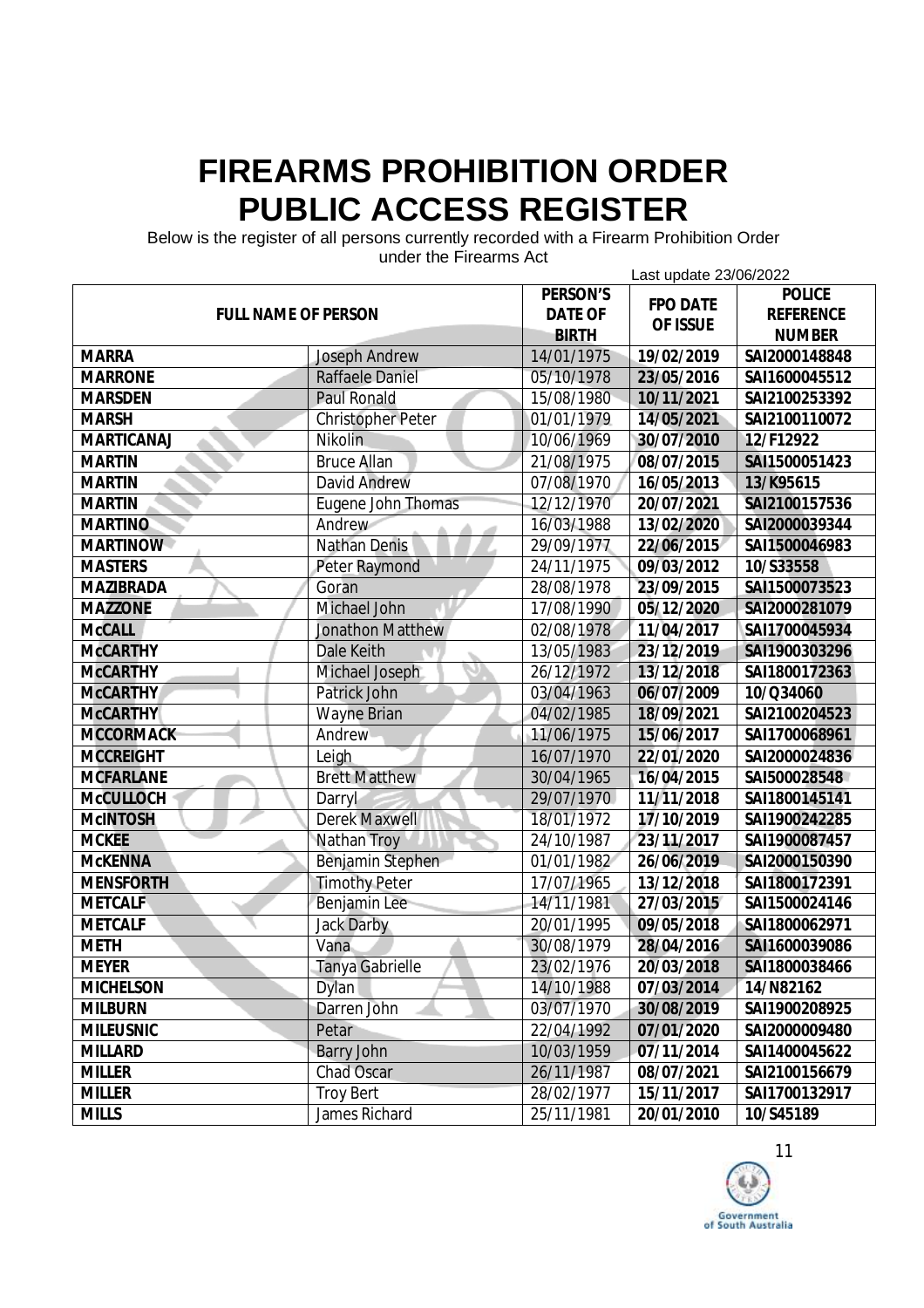Below is the register of all persons currently recorded with a Firearm Prohibition Order

| unuci the Filedinis Act<br>Last update 23/06/2022 |                          |                |                 |                  |
|---------------------------------------------------|--------------------------|----------------|-----------------|------------------|
|                                                   |                          | PERSON'S       | <b>FPO DATE</b> | <b>POLICE</b>    |
| <b>FULL NAME OF PERSON</b>                        |                          | <b>DATE OF</b> |                 | <b>REFERENCE</b> |
|                                                   |                          | <b>BIRTH</b>   | OF ISSUE        | <b>NUMBER</b>    |
| <b>MARRA</b>                                      | <b>Joseph Andrew</b>     | 14/01/1975     | 19/02/2019      | SAI2000148848    |
| <b>MARRONE</b>                                    | <b>Raffaele Daniel</b>   | 05/10/1978     | 23/05/2016      | SAI1600045512    |
| <b>MARSDEN</b>                                    | <b>Paul Ronald</b>       | 15/08/1980     | 10/11/2021      | SAI2100253392    |
| <b>MARSH</b>                                      | <b>Christopher Peter</b> | 01/01/1979     | 14/05/2021      | SAI2100110072    |
| <b>MARTICANAJ</b>                                 | Nikolin                  | 10/06/1969     | 30/07/2010      | 12/F12922        |
| <b>MARTIN</b>                                     | <b>Bruce Allan</b>       | 21/08/1975     | 08/07/2015      | SAI1500051423    |
| <b>MARTIN</b>                                     | <b>David Andrew</b>      | 07/08/1970     | 16/05/2013      | 13/K95615        |
| <b>MARTIN</b>                                     | Eugene John Thomas       | 12/12/1970     | 20/07/2021      | SAI2100157536    |
| <b>MARTINO</b>                                    | Andrew                   | 16/03/1988     | 13/02/2020      | SAI2000039344    |
| <b>MARTINOW</b>                                   | <b>Nathan Denis</b>      | 29/09/1977     | 22/06/2015      | SAI1500046983    |
| <b>MASTERS</b>                                    | <b>Peter Raymond</b>     | 24/11/1975     | 09/03/2012      | 10/S33558        |
| <b>MAZIBRADA</b>                                  | Goran                    | 28/08/1978     | 23/09/2015      | SAI1500073523    |
| <b>MAZZONE</b>                                    | <b>Michael John</b>      | 17/08/1990     | 05/12/2020      | SAI2000281079    |
| <b>McCALL</b>                                     | <b>Jonathon Matthew</b>  | 02/08/1978     | 11/04/2017      | SAI1700045934    |
| <b>McCARTHY</b>                                   | Dale Keith               | 13/05/1983     | 23/12/2019      | SAI1900303296    |
| <b>McCARTHY</b>                                   | Michael Joseph           | 26/12/1972     | 13/12/2018      | SAI1800172363    |
| <b>McCARTHY</b>                                   | Patrick John             | 03/04/1963     | 06/07/2009      | 10/Q34060        |
| <b>McCARTHY</b>                                   | <b>Wayne Brian</b>       | 04/02/1985     | 18/09/2021      | SAI2100204523    |
| <b>MCCORMACK</b>                                  | Andrew                   | 11/06/1975     | 15/06/2017      | SAI1700068961    |
| <b>MCCREIGHT</b>                                  | Leigh                    | 16/07/1970     | 22/01/2020      | SAI2000024836    |
| <b>MCFARLANE</b>                                  | <b>Brett Matthew</b>     | 30/04/1965     | 16/04/2015      | SAI500028548     |
| <b>McCULLOCH</b>                                  | Darryl                   | 29/07/1970     | 11/11/2018      | SAI1800145141    |
| <b>McINTOSH</b>                                   | <b>Derek Maxwell</b>     | 18/01/1972     | 17/10/2019      | SAI1900242285    |
| <b>MCKEE</b>                                      | <b>Nathan Troy</b>       | 24/10/1987     | 23/11/2017      | SAI1900087457    |
| <b>McKENNA</b>                                    | Benjamin Stephen         | 01/01/1982     | 26/06/2019      | SAI2000150390    |
| <b>MENSFORTH</b>                                  | <b>Timothy Peter</b>     | 17/07/1965     | 13/12/2018      | SAI1800172391    |
| <b>METCALF</b>                                    | Benjamin Lee             | 14/11/1981     | 27/03/2015      | SAI1500024146    |
| <b>METCALF</b>                                    | <b>Jack Darby</b>        | 20/01/1995     | 09/05/2018      | SAI1800062971    |
| <b>METH</b>                                       | Vana                     | 30/08/1979     | 28/04/2016      | SAI1600039086    |
| <b>MEYER</b>                                      | <b>Tanya Gabrielle</b>   | 23/02/1976     | 20/03/2018      | SAI1800038466    |
| <b>MICHELSON</b>                                  | <b>Dylan</b>             | 14/10/1988     | 07/03/2014      | 14/N82162        |
| <b>MILBURN</b>                                    | Darren John              | 03/07/1970     | 30/08/2019      | SAI1900208925    |
| <b>MILEUSNIC</b>                                  | Petar                    | 22/04/1992     | 07/01/2020      | SAI2000009480    |
| <b>MILLARD</b>                                    | <b>Barry John</b>        | 10/03/1959     | 07/11/2014      | SAI1400045622    |
| <b>MILLER</b>                                     | Chad Oscar               | 26/11/1987     | 08/07/2021      | SAI2100156679    |
| <b>MILLER</b>                                     | <b>Troy Bert</b>         | 28/02/1977     | 15/11/2017      | SAI1700132917    |
| <b>MILLS</b>                                      | James Richard            | 25/11/1981     | 20/01/2010      | 10/S45189        |

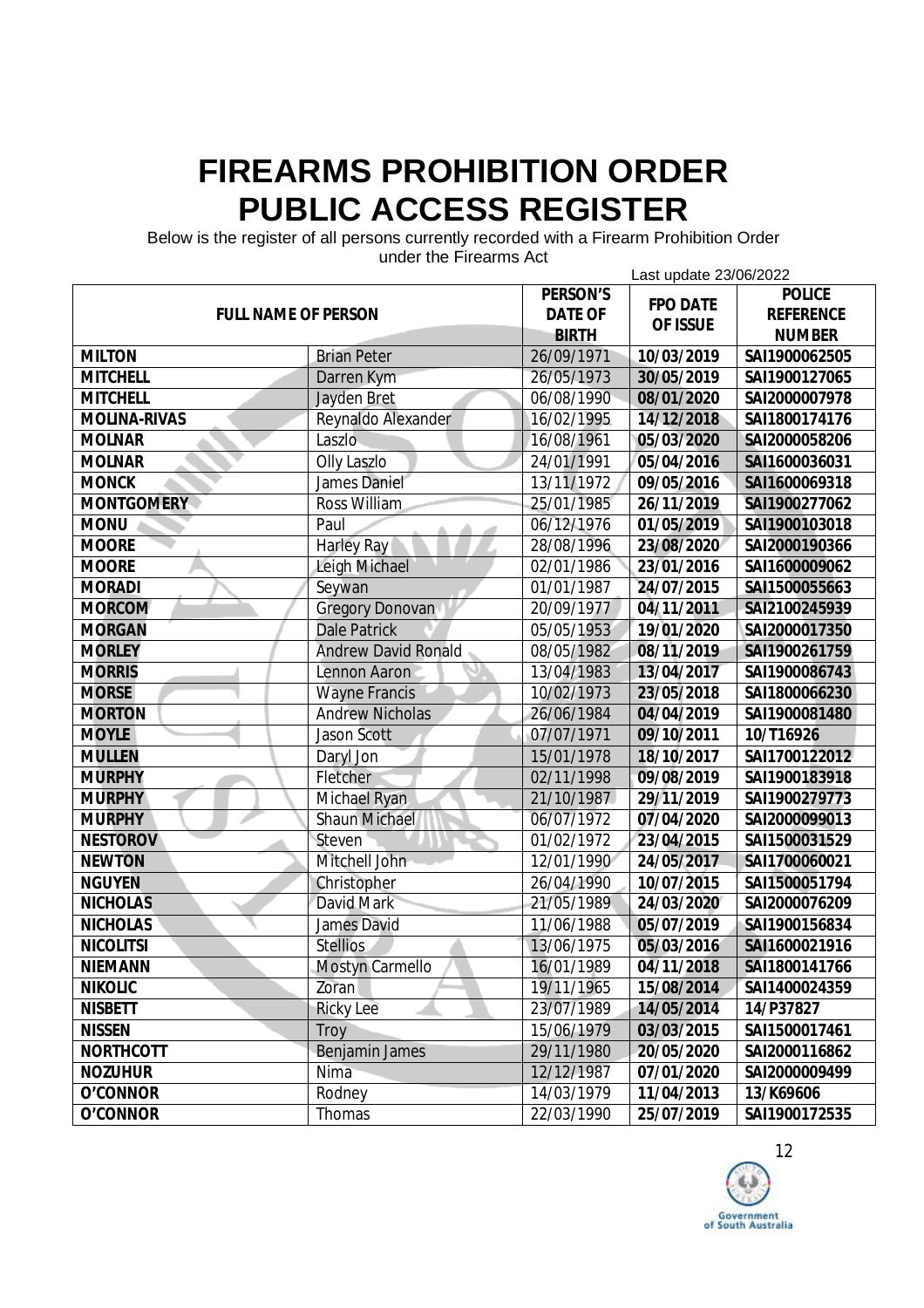Below is the register of all persons currently recorded with a Firearm Prohibition Order

| unuci the Filedinis Act<br>Last update 23/06/2022 |                            |                |                             |                  |
|---------------------------------------------------|----------------------------|----------------|-----------------------------|------------------|
|                                                   |                            | PERSON'S       |                             | <b>POLICE</b>    |
| <b>FULL NAME OF PERSON</b>                        |                            | <b>DATE OF</b> | <b>FPO DATE</b><br>OF ISSUE | <b>REFERENCE</b> |
|                                                   |                            | <b>BIRTH</b>   |                             | <b>NUMBER</b>    |
| <b>MILTON</b>                                     | <b>Brian Peter</b>         | 26/09/1971     | 10/03/2019                  | SAI1900062505    |
| <b>MITCHELL</b>                                   | Darren Kym                 | 26/05/1973     | 30/05/2019                  | SAI1900127065    |
| <b>MITCHELL</b>                                   | <b>Jayden Bret</b>         | 06/08/1990     | 08/01/2020                  | SAI2000007978    |
| MOLINA-RIVAS                                      | Reynaldo Alexander         | 16/02/1995     | 14/12/2018                  | SAI1800174176    |
| <b>MOLNAR</b>                                     | Laszlo                     | 16/08/1961     | 05/03/2020                  | SAI2000058206    |
| <b>MOLNAR</b>                                     | <b>Olly Laszlo</b>         | 24/01/1991     | 05/04/2016                  | SAI1600036031    |
| <b>MONCK</b>                                      | James Daniel               | 13/11/1972     | 09/05/2016                  | SAI1600069318    |
| <b>MONTGOMERY</b>                                 | <b>Ross William</b>        | 25/01/1985     | 26/11/2019                  | SAI1900277062    |
| <b>MONU</b>                                       | Paul                       | 06/12/1976     | 01/05/2019                  | SAI1900103018    |
| <b>MOORE</b>                                      | <b>Harley Ray</b>          | 28/08/1996     | 23/08/2020                  | SAI2000190366    |
| <b>MOORE</b>                                      | Leigh Michael              | 02/01/1986     | 23/01/2016                  | SAI1600009062    |
| <b>MORADI</b>                                     | Seywan                     | 01/01/1987     | 24/07/2015                  | SAI1500055663    |
| <b>MORCOM</b>                                     | <b>Gregory Donovan</b>     | 20/09/1977     | 04/11/2011                  | SAI2100245939    |
| <b>MORGAN</b>                                     | <b>Dale Patrick</b>        | 05/05/1953     | 19/01/2020                  | SAI2000017350    |
| <b>MORLEY</b>                                     | <b>Andrew David Ronald</b> | 08/05/1982     | 08/11/2019                  | SAI1900261759    |
| <b>MORRIS</b>                                     | Lennon Aaron               | 13/04/1983     | 13/04/2017                  | SAI1900086743    |
| <b>MORSE</b>                                      | <b>Wayne Francis</b>       | 10/02/1973     | 23/05/2018                  | SAI1800066230    |
| <b>MORTON</b>                                     | <b>Andrew Nicholas</b>     | 26/06/1984     | 04/04/2019                  | SAI1900081480    |
| <b>MOYLE</b>                                      | <b>Jason Scott</b>         | 07/07/1971     | 09/10/2011                  | 10/T16926        |
| <b>MULLEN</b>                                     | Daryl Jon                  | 15/01/1978     | 18/10/2017                  | SAI1700122012    |
| <b>MURPHY</b>                                     | Fletcher                   | 02/11/1998     | 09/08/2019                  | SAI1900183918    |
| <b>MURPHY</b>                                     | Michael Ryan               | 21/10/1987     | 29/11/2019                  | SAI1900279773    |
| <b>MURPHY</b>                                     | <b>Shaun Michael</b>       | 06/07/1972     | 07/04/2020                  | SAI2000099013    |
| <b>NESTOROV</b>                                   | Steven                     | 01/02/1972     | 23/04/2015                  | SAI1500031529    |
| <b>NEWTON</b>                                     | Mitchell John              | 12/01/1990     | 24/05/2017                  | SAI1700060021    |
| <b>NGUYEN</b>                                     | Christopher                | 26/04/1990     | 10/07/2015                  | SAI1500051794    |
| <b>NICHOLAS</b>                                   | David Mark                 | 21/05/1989     | 24/03/2020                  | SAI2000076209    |
| <b>NICHOLAS</b>                                   | James David                | 11/06/1988     | 05/07/2019                  | SAI1900156834    |
| <b>NICOLITSI</b>                                  | <b>Stellios</b>            | 13/06/1975     | 05/03/2016                  | SAI1600021916    |
| <b>NIEMANN</b>                                    | <b>Mostyn Carmello</b>     | 16/01/1989     | 04/11/2018                  | SAI1800141766    |
| <b>NIKOLIC</b>                                    | Zoran                      | 19/11/1965     | 15/08/2014                  | SAI1400024359    |
| <b>NISBETT</b>                                    | <b>Ricky Lee</b>           | 23/07/1989     | 14/05/2014                  | 14/P37827        |
| <b>NISSEN</b>                                     | Troy                       | 15/06/1979     | 03/03/2015                  | SAI1500017461    |
| <b>NORTHCOTT</b>                                  | <b>Benjamin James</b>      | 29/11/1980     | 20/05/2020                  | SAI2000116862    |
| <b>NOZUHUR</b>                                    | Nima                       | 12/12/1987     | 07/01/2020                  | SAI2000009499    |
| O'CONNOR                                          | Rodney                     | 14/03/1979     | 11/04/2013                  | 13/K69606        |
| O'CONNOR                                          | Thomas                     | 22/03/1990     | 25/07/2019                  | SAI1900172535    |

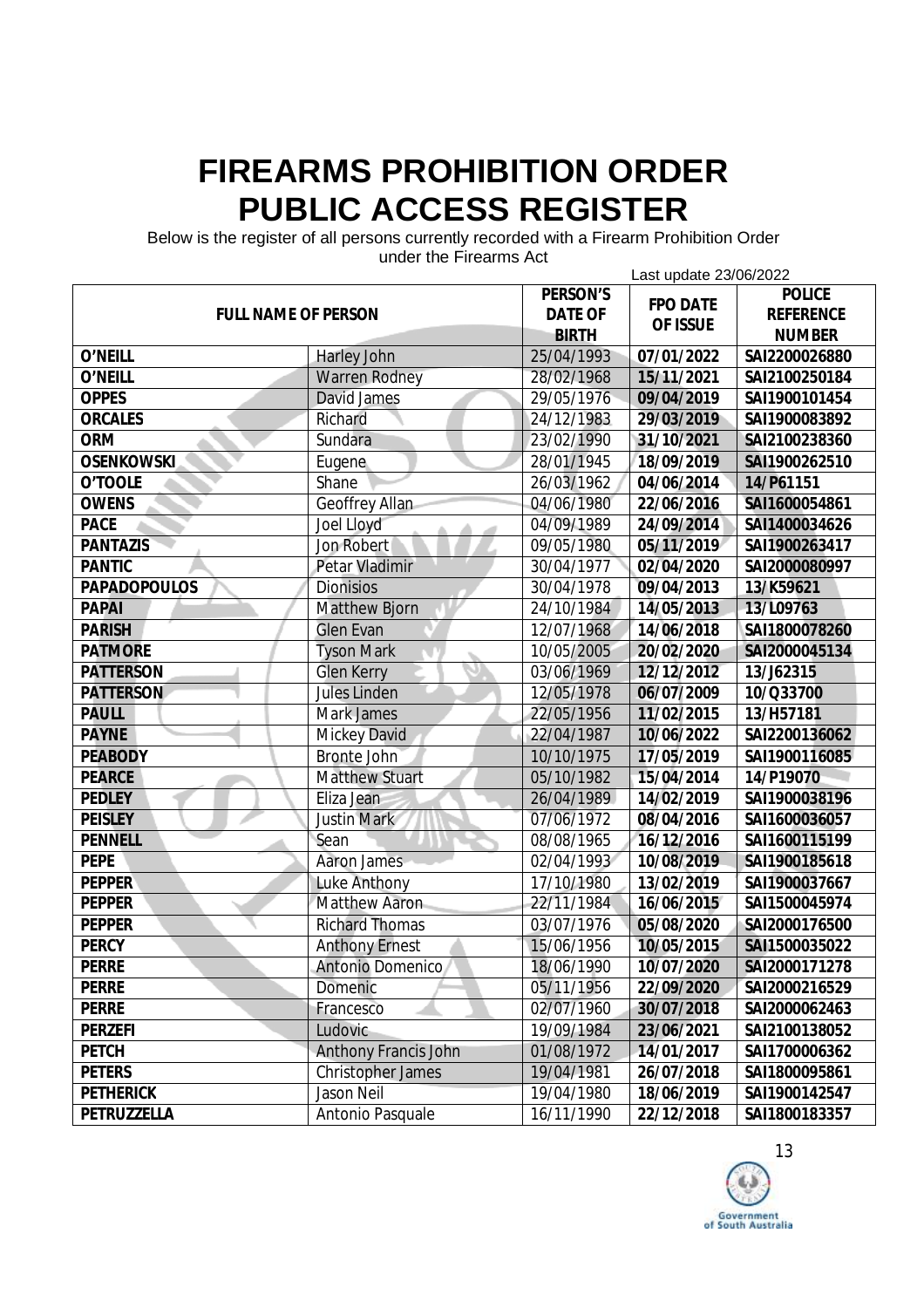Below is the register of all persons currently recorded with a Firearm Prohibition Order

| unuci the Filedinis Act<br>Last update 23/06/2022 |                             |                |                 |                  |  |
|---------------------------------------------------|-----------------------------|----------------|-----------------|------------------|--|
|                                                   |                             | PERSON'S       | <b>FPO DATE</b> | <b>POLICE</b>    |  |
| <b>FULL NAME OF PERSON</b>                        |                             | <b>DATE OF</b> | OF ISSUE        | <b>REFERENCE</b> |  |
|                                                   |                             | <b>BIRTH</b>   |                 | <b>NUMBER</b>    |  |
| O'NEILL                                           | <b>Harley John</b>          | 25/04/1993     | 07/01/2022      | SAI2200026880    |  |
| O'NEILL                                           | <b>Warren Rodney</b>        | 28/02/1968     | 15/11/2021      | SAI2100250184    |  |
| <b>OPPES</b>                                      | <b>David James</b>          | 29/05/1976     | 09/04/2019      | SAI1900101454    |  |
| <b>ORCALES</b>                                    | Richard                     | 24/12/1983     | 29/03/2019      | SAI1900083892    |  |
| <b>ORM</b>                                        | Sundara                     | 23/02/1990     | 31/10/2021      | SAI2100238360    |  |
| <b>OSENKOWSKI</b>                                 | Eugene                      | 28/01/1945     | 18/09/2019      | SAI1900262510    |  |
| O'TOOLE                                           | Shane                       | 26/03/1962     | 04/06/2014      | 14/P61151        |  |
| <b>OWENS</b>                                      | <b>Geoffrey Allan</b>       | 04/06/1980     | 22/06/2016      | SAI1600054861    |  |
| <b>PACE</b>                                       | Joel Lloyd                  | 04/09/1989     | 24/09/2014      | SAI1400034626    |  |
| <b>PANTAZIS</b>                                   | <b>Jon Robert</b>           | 09/05/1980     | 05/11/2019      | SAI1900263417    |  |
| <b>PANTIC</b>                                     | <b>Petar Vladimir</b>       | 30/04/1977     | 02/04/2020      | SAI2000080997    |  |
| <b>PAPADOPOULOS</b>                               | <b>Dionisios</b>            | 30/04/1978     | 09/04/2013      | 13/K59621        |  |
| <b>PAPAI</b>                                      | <b>Matthew Bjorn</b>        | 24/10/1984     | 14/05/2013      | 13/L09763        |  |
| <b>PARISH</b>                                     | <b>Glen Evan</b>            | 12/07/1968     | 14/06/2018      | SAI1800078260    |  |
| <b>PATMORE</b>                                    | <b>Tyson Mark</b>           | 10/05/2005     | 20/02/2020      | SAI2000045134    |  |
| <b>PATTERSON</b>                                  | <b>Glen Kerry</b>           | 03/06/1969     | 12/12/2012      | 13/J62315        |  |
| <b>PATTERSON</b>                                  | Jules Linden                | 12/05/1978     | 06/07/2009      | 10/Q33700        |  |
| <b>PAULL</b>                                      | <b>Mark James</b>           | 22/05/1956     | 11/02/2015      | 13/H57181        |  |
| <b>PAYNE</b>                                      | <b>Mickey David</b>         | 22/04/1987     | 10/06/2022      | SAI2200136062    |  |
| <b>PEABODY</b>                                    | <b>Bronte John</b>          | 10/10/1975     | 17/05/2019      | SAI1900116085    |  |
| <b>PEARCE</b>                                     | <b>Matthew Stuart</b>       | 05/10/1982     | 15/04/2014      | 14/P19070        |  |
| <b>PEDLEY</b>                                     | Eliza Jean                  | 26/04/1989     | 14/02/2019      | SAI1900038196    |  |
| <b>PEISLEY</b>                                    | <b>Justin Mark</b>          | 07/06/1972     | 08/04/2016      | SAI1600036057    |  |
| <b>PENNELL</b>                                    | Sean                        | 08/08/1965     | 16/12/2016      | SAI1600115199    |  |
| <b>PEPE</b>                                       | <b>Aaron James</b>          | 02/04/1993     | 10/08/2019      | SAI1900185618    |  |
| <b>PEPPER</b>                                     | <b>Luke Anthony</b>         | 17/10/1980     | 13/02/2019      | SAI1900037667    |  |
| <b>PEPPER</b>                                     | <b>Matthew Aaron</b>        | 22/11/1984     | 16/06/2015      | SAI1500045974    |  |
| <b>PEPPER</b>                                     | <b>Richard Thomas</b>       | 03/07/1976     | 05/08/2020      | SAI2000176500    |  |
| <b>PERCY</b>                                      | <b>Anthony Ernest</b>       | 15/06/1956     | 10/05/2015      | SAI1500035022    |  |
| <b>PERRE</b>                                      | Antonio Domenico            | 18/06/1990     | 10/07/2020      | SAI2000171278    |  |
| <b>PERRE</b>                                      | Domenic                     | 05/11/1956     | 22/09/2020      | SAI2000216529    |  |
| <b>PERRE</b>                                      | Francesco                   | 02/07/1960     | 30/07/2018      | SAI2000062463    |  |
| <b>PERZEFI</b>                                    | Ludovic                     | 19/09/1984     | 23/06/2021      | SAI2100138052    |  |
| <b>PETCH</b>                                      | <b>Anthony Francis John</b> | 01/08/1972     | 14/01/2017      | SAI1700006362    |  |
| <b>PETERS</b>                                     | <b>Christopher James</b>    | 19/04/1981     | 26/07/2018      | SAI1800095861    |  |
| <b>PETHERICK</b>                                  | Jason Neil                  | 19/04/1980     | 18/06/2019      | SAI1900142547    |  |
| PETRUZZELLA                                       | Antonio Pasquale            | 16/11/1990     | 22/12/2018      | SAI1800183357    |  |

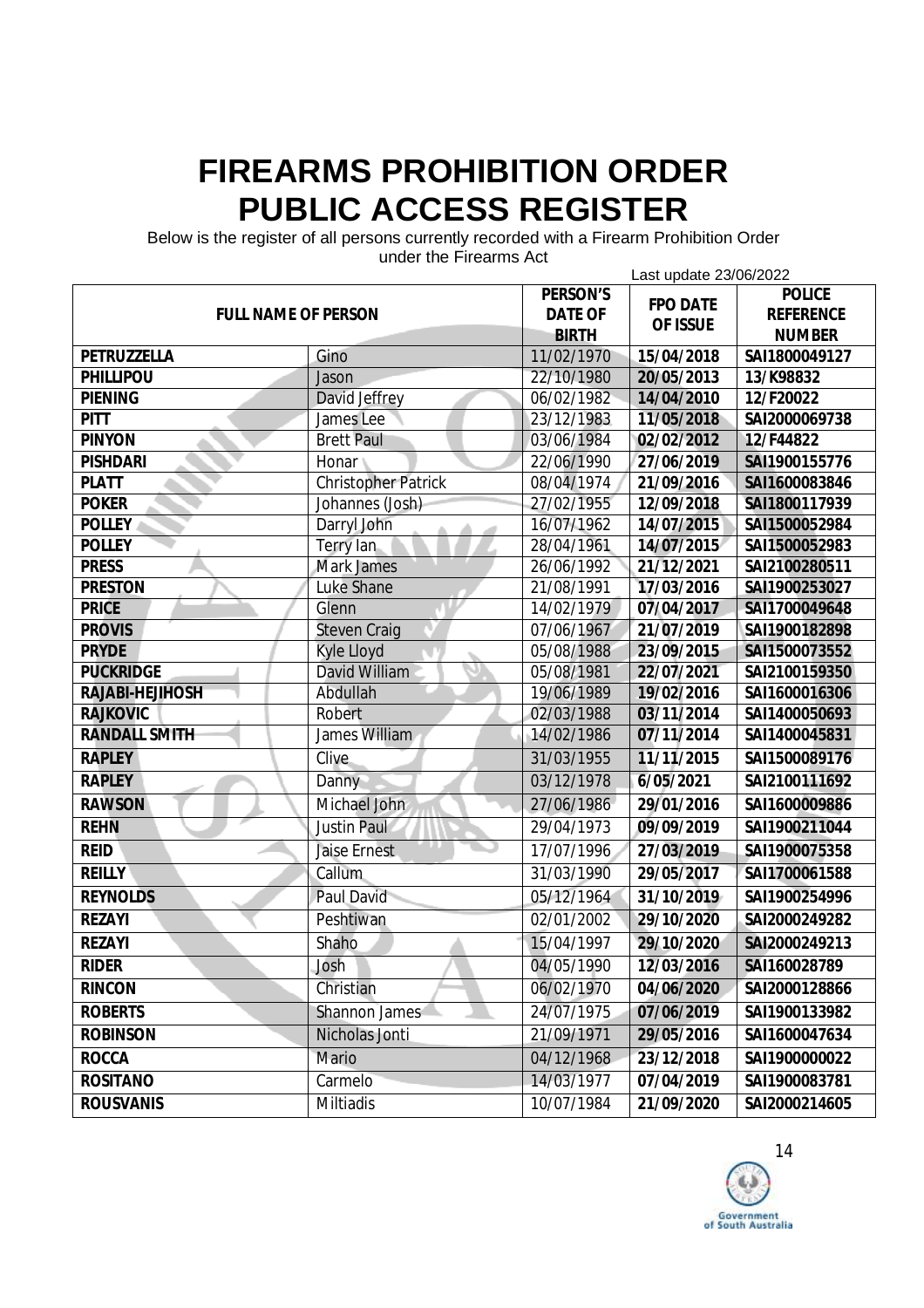Below is the register of all persons currently recorded with a Firearm Prohibition Order

| unuel the Filedinis Aut<br>Last update 23/06/2022 |                            |                |                 |                  |
|---------------------------------------------------|----------------------------|----------------|-----------------|------------------|
|                                                   |                            | PERSON'S       | <b>FPO DATE</b> | <b>POLICE</b>    |
| <b>FULL NAME OF PERSON</b>                        |                            | <b>DATE OF</b> | OF ISSUE        | <b>REFERENCE</b> |
|                                                   |                            | <b>BIRTH</b>   |                 | <b>NUMBER</b>    |
| PETRUZZELLA                                       | Gino                       | 11/02/1970     | 15/04/2018      | SAI1800049127    |
| PHILLIPOU                                         | Jason                      | 22/10/1980     | 20/05/2013      | 13/K98832        |
| <b>PIENING</b>                                    | David Jeffrey              | 06/02/1982     | 14/04/2010      | 12/F20022        |
| <b>PITT</b>                                       | James Lee                  | 23/12/1983     | 11/05/2018      | SAI2000069738    |
| <b>PINYON</b>                                     | <b>Brett Paul</b>          | 03/06/1984     | 02/02/2012      | 12/F44822        |
| <b>PISHDARI</b>                                   | Honar                      | 22/06/1990     | 27/06/2019      | SAI1900155776    |
| <b>PLATT</b>                                      | <b>Christopher Patrick</b> | 08/04/1974     | 21/09/2016      | SAI1600083846    |
| <b>POKER</b>                                      | Johannes (Josh)            | 27/02/1955     | 12/09/2018      | SAI1800117939    |
| <b>POLLEY</b>                                     | Darryl John                | 16/07/1962     | 14/07/2015      | SAI1500052984    |
| <b>POLLEY</b>                                     | Terry lan                  | 28/04/1961     | 14/07/2015      | SAI1500052983    |
| <b>PRESS</b>                                      | <b>Mark James</b>          | 26/06/1992     | 21/12/2021      | SAI2100280511    |
| <b>PRESTON</b>                                    | <b>Luke Shane</b>          | 21/08/1991     | 17/03/2016      | SAI1900253027    |
| <b>PRICE</b>                                      | Glenn                      | 14/02/1979     | 07/04/2017      | SAI1700049648    |
| <b>PROVIS</b>                                     | <b>Steven Craig</b>        | 07/06/1967     | 21/07/2019      | SAI1900182898    |
| <b>PRYDE</b>                                      | <b>Kyle Lloyd</b>          | 05/08/1988     | 23/09/2015      | SAI1500073552    |
| <b>PUCKRIDGE</b>                                  | David William              | 05/08/1981     | 22/07/2021      | SAI2100159350    |
| RAJABI-HEJIHOSH                                   | Abdullah                   | 19/06/1989     | 19/02/2016      | SAI1600016306    |
| <b>RAJKOVIC</b>                                   | Robert                     | 02/03/1988     | 03/11/2014      | SAI1400050693    |
| <b>RANDALL SMITH</b>                              | James William              | 14/02/1986     | 07/11/2014      | SAI1400045831    |
| <b>RAPLEY</b>                                     | Clive                      | 31/03/1955     | 11/11/2015      | SAI1500089176    |
| <b>RAPLEY</b>                                     | Danny                      | 03/12/1978     | 6/05/2021       | SAI2100111692    |
| <b>RAWSON</b>                                     | Michael John               | 27/06/1986     | 29/01/2016      | SAI1600009886    |
| <b>REHN</b>                                       | <b>Justin Paul</b>         | 29/04/1973     | 09/09/2019      | SAI1900211044    |
| <b>REID</b>                                       | <b>Jaise Ernest</b>        | 17/07/1996     | 27/03/2019      | SAI1900075358    |
| <b>REILLY</b>                                     | Callum                     | 31/03/1990     | 29/05/2017      | SAI1700061588    |
| <b>REYNOLDS</b>                                   | <b>Paul David</b>          | 05/12/1964     | 31/10/2019      | SAI1900254996    |
| <b>REZAYI</b>                                     | Peshtiwan                  | 02/01/2002     | 29/10/2020      | SAI2000249282    |
| <b>REZAYI</b>                                     | Shaho                      | 15/04/1997     | 29/10/2020      | SAI2000249213    |
| <b>RIDER</b>                                      | Josh                       | 04/05/1990     | 12/03/2016      | SAI160028789     |
| <b>RINCON</b>                                     | Christian                  | 06/02/1970     | 04/06/2020      | SAI2000128866    |
| <b>ROBERTS</b>                                    | Shannon James              | 24/07/1975     | 07/06/2019      | SAI1900133982    |
| <b>ROBINSON</b>                                   | Nicholas Jonti             | 21/09/1971     | 29/05/2016      | SAI1600047634    |
| <b>ROCCA</b>                                      | Mario                      | 04/12/1968     | 23/12/2018      | SAI1900000022    |
| <b>ROSITANO</b>                                   | Carmelo                    | 14/03/1977     | 07/04/2019      | SAI1900083781    |
| <b>ROUSVANIS</b>                                  | Miltiadis                  | 10/07/1984     | 21/09/2020      | SAI2000214605    |

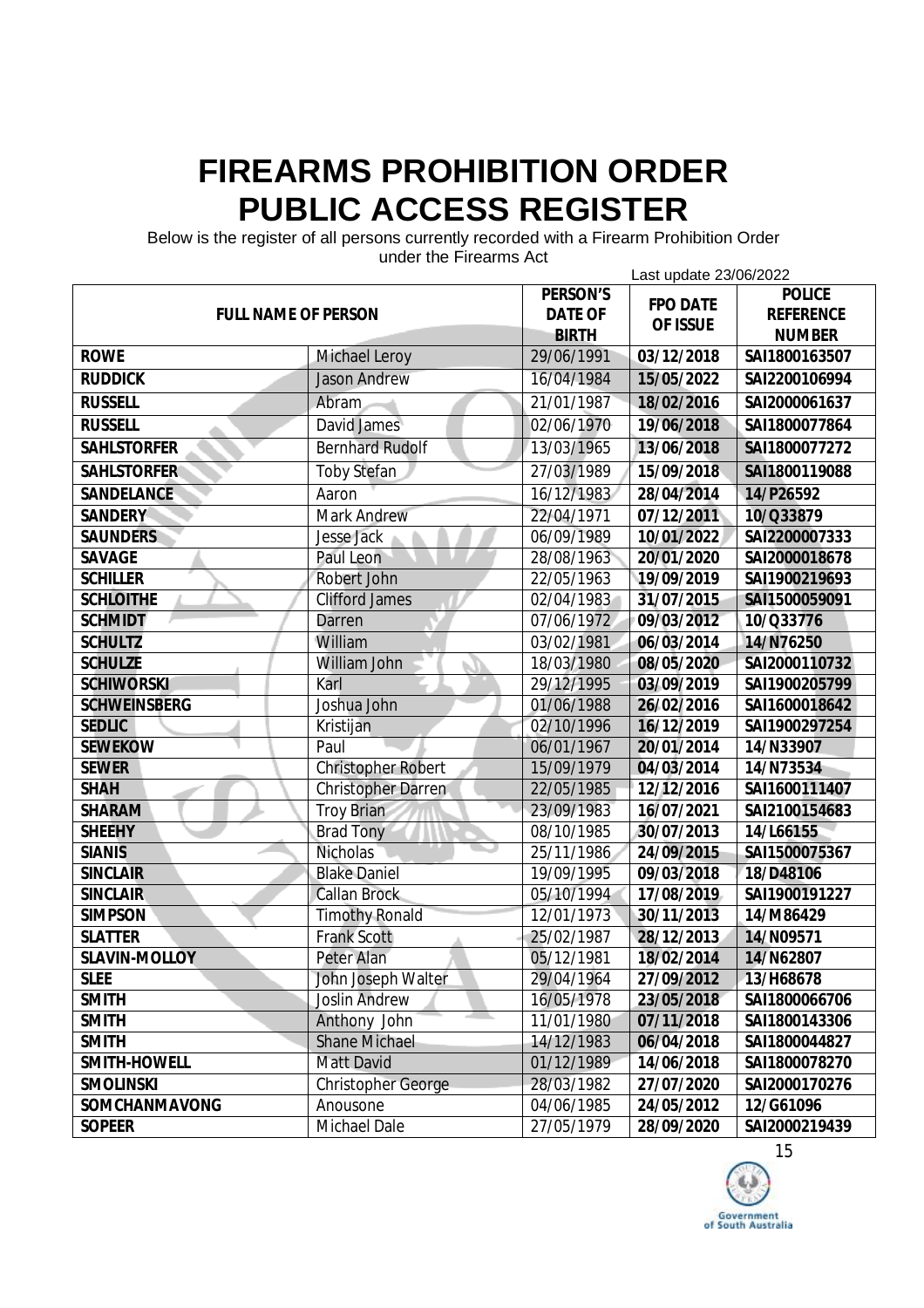Below is the register of all persons currently recorded with a Firearm Prohibition Order

| unuci ulc i licalilis Act<br>Last update 23/06/2022 |                           |                |                 |                  |
|-----------------------------------------------------|---------------------------|----------------|-----------------|------------------|
| <b>FULL NAME OF PERSON</b>                          |                           | PERSON'S       | <b>FPO DATE</b> | <b>POLICE</b>    |
|                                                     |                           | <b>DATE OF</b> | OF ISSUE        | <b>REFERENCE</b> |
|                                                     |                           | <b>BIRTH</b>   |                 | <b>NUMBER</b>    |
| <b>ROWE</b>                                         | <b>Michael Leroy</b>      | 29/06/1991     | 03/12/2018      | SAI1800163507    |
| <b>RUDDICK</b>                                      | <b>Jason Andrew</b>       | 16/04/1984     | 15/05/2022      | SAI2200106994    |
| <b>RUSSELL</b>                                      | <b>Abram</b>              | 21/01/1987     | 18/02/2016      | SAI2000061637    |
| <b>RUSSELL</b>                                      | David James               | 02/06/1970     | 19/06/2018      | SAI1800077864    |
| <b>SAHLSTORFER</b>                                  | <b>Bernhard Rudolf</b>    | 13/03/1965     | 13/06/2018      | SAI1800077272    |
| <b>SAHLSTORFER</b>                                  | <b>Toby Stefan</b>        | 27/03/1989     | 15/09/2018      | SAI1800119088    |
| <b>SANDELANCE</b>                                   | Aaron                     | 16/12/1983     | 28/04/2014      | 14/P26592        |
| <b>SANDERY</b>                                      | <b>Mark Andrew</b>        | 22/04/1971     | 07/12/2011      | 10/Q33879        |
| <b>SAUNDERS</b>                                     | <b>Jesse Jack</b>         | 06/09/1989     | 10/01/2022      | SAI2200007333    |
| SAVAGE                                              | Paul Leon                 | 28/08/1963     | 20/01/2020      | SAI2000018678    |
| <b>SCHILLER</b>                                     | Robert John               | 22/05/1963     | 19/09/2019      | SAI1900219693    |
| <b>SCHLOITHE</b>                                    | <b>Clifford James</b>     | 02/04/1983     | 31/07/2015      | SAI1500059091    |
| <b>SCHMIDT</b>                                      | Darren                    | 07/06/1972     | 09/03/2012      | 10/Q33776        |
| <b>SCHULTZ</b>                                      | William                   | 03/02/1981     | 06/03/2014      | 14/N76250        |
| <b>SCHULZE</b>                                      | William John              | 18/03/1980     | 08/05/2020      | SAI2000110732    |
| <b>SCHIWORSKI</b>                                   | Karl                      | 29/12/1995     | 03/09/2019      | SAI1900205799    |
| <b>SCHWEINSBERG</b>                                 | Joshua John               | 01/06/1988     | 26/02/2016      | SAI1600018642    |
| <b>SEDLIC</b>                                       | Kristijan                 | 02/10/1996     | 16/12/2019      | SAI1900297254    |
| <b>SEWEKOW</b>                                      | Paul                      | 06/01/1967     | 20/01/2014      | 14/N33907        |
| <b>SEWER</b>                                        | <b>Christopher Robert</b> | 15/09/1979     | 04/03/2014      | 14/N73534        |
| <b>SHAH</b>                                         | <b>Christopher Darren</b> | 22/05/1985     | 12/12/2016      | SAI1600111407    |
| <b>SHARAM</b>                                       | <b>Troy Brian</b>         | 23/09/1983     | 16/07/2021      | SAI2100154683    |
| <b>SHEEHY</b>                                       | <b>Brad Tony</b>          | 08/10/1985     | 30/07/2013      | 14/L66155        |
| <b>SIANIS</b>                                       | Nicholas                  | 25/11/1986     | 24/09/2015      | SAI1500075367    |
| <b>SINCLAIR</b>                                     | <b>Blake Daniel</b>       | 19/09/1995     | 09/03/2018      | 18/D48106        |
| <b>SINCLAIR</b>                                     | <b>Callan Brock</b>       | 05/10/1994     | 17/08/2019      | SAI1900191227    |
| <b>SIMPSON</b>                                      | <b>Timothy Ronald</b>     | 12/01/1973     | 30/11/2013      | 14/M86429        |
| <b>SLATTER</b>                                      | <b>Frank Scott</b>        | 25/02/1987     | 28/12/2013      | 14/N09571        |
| <b>SLAVIN-MOLLOY</b>                                | Peter Alan                | 05/12/1981     | 18/02/2014      | 14/N62807        |
| <b>SLEE</b>                                         | John Joseph Walter        | 29/04/1964     | 27/09/2012      | 13/H68678        |
| <b>SMITH</b>                                        | <b>Joslin Andrew</b>      | 16/05/1978     | 23/05/2018      | SAI1800066706    |
| <b>SMITH</b>                                        | Anthony John              | 11/01/1980     | 07/11/2018      | SAI1800143306    |
| <b>SMITH</b>                                        | <b>Shane Michael</b>      | 14/12/1983     | 06/04/2018      | SAI1800044827    |
| SMITH-HOWELL                                        | <b>Matt David</b>         | 01/12/1989     | 14/06/2018      | SAI1800078270    |
| <b>SMOLINSKI</b>                                    | <b>Christopher George</b> | 28/03/1982     | 27/07/2020      | SAI2000170276    |
| SOMCHANMAVONG                                       | Anousone                  | 04/06/1985     | 24/05/2012      | 12/G61096        |
| <b>SOPEER</b>                                       | <b>Michael Dale</b>       | 27/05/1979     | 28/09/2020      | SAI2000219439    |

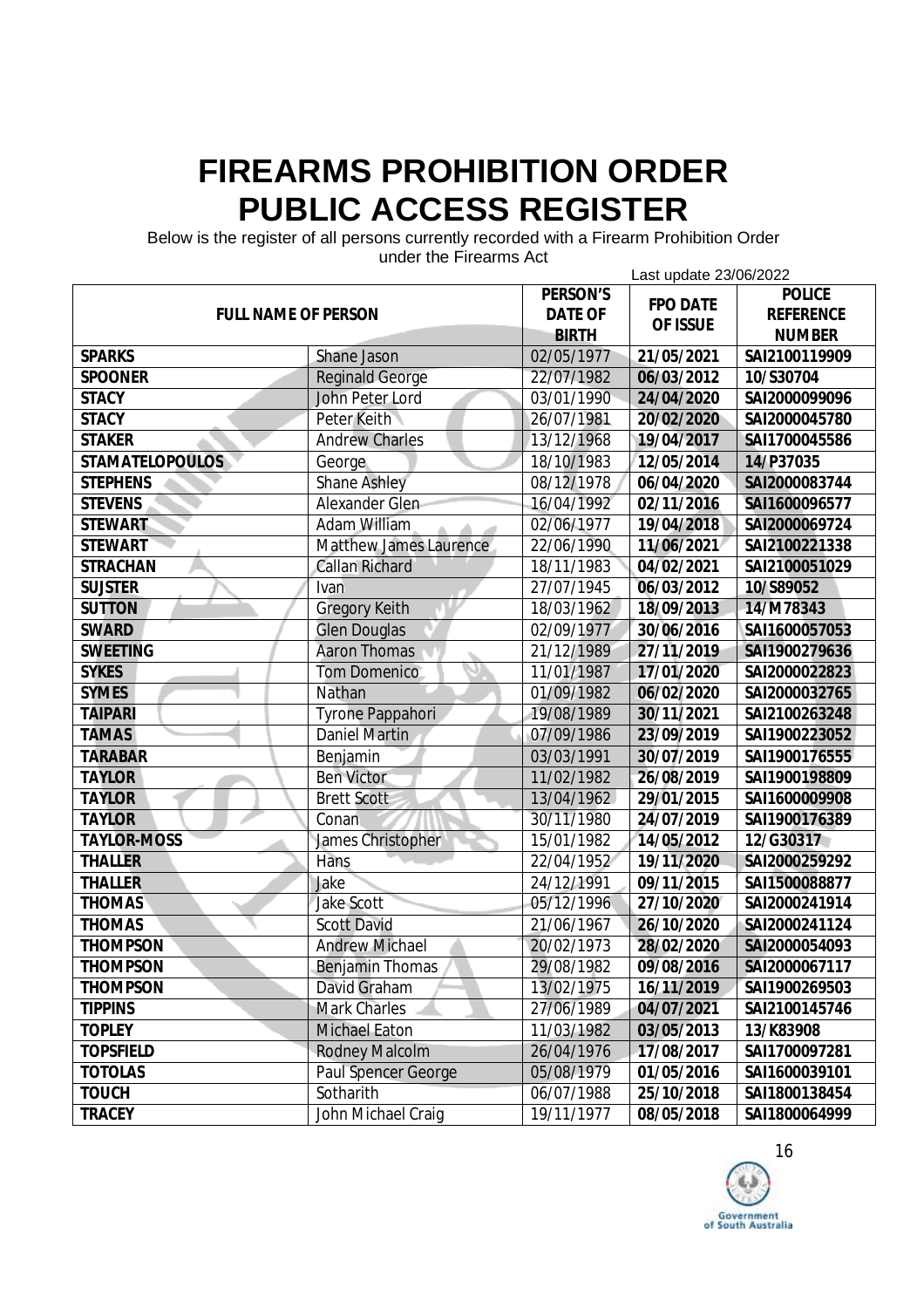Below is the register of all persons currently recorded with a Firearm Prohibition Order

|                            |                               |                            | Last update 23/06/2022      |                                   |  |
|----------------------------|-------------------------------|----------------------------|-----------------------------|-----------------------------------|--|
| <b>FULL NAME OF PERSON</b> |                               | PERSON'S<br><b>DATE OF</b> | <b>FPO DATE</b><br>OF ISSUE | <b>POLICE</b><br><b>REFERENCE</b> |  |
|                            |                               | <b>BIRTH</b>               |                             | <b>NUMBER</b>                     |  |
| <b>SPARKS</b>              | Shane Jason                   | 02/05/1977                 | 21/05/2021                  | SAI2100119909                     |  |
| <b>SPOONER</b>             | <b>Reginald George</b>        | 22/07/1982                 | 06/03/2012                  | 10/S30704                         |  |
| <b>STACY</b>               | John Peter Lord               | 03/01/1990                 | 24/04/2020                  | SAI2000099096                     |  |
| <b>STACY</b>               | Peter Keith                   | 26/07/1981                 | 20/02/2020                  | SAI2000045780                     |  |
| <b>STAKER</b>              | <b>Andrew Charles</b>         | 13/12/1968                 | 19/04/2017                  | SAI1700045586                     |  |
| <b>STAMATELOPOULOS</b>     | George                        | 18/10/1983                 | 12/05/2014                  | 14/P37035                         |  |
| <b>STEPHENS</b>            | <b>Shane Ashley</b>           | 08/12/1978                 | 06/04/2020                  | SAI2000083744                     |  |
| <b>STEVENS</b>             | Alexander Glen                | 16/04/1992                 | 02/11/2016                  | SAI1600096577                     |  |
| <b>STEWART</b>             | <b>Adam William</b>           | 02/06/1977                 | 19/04/2018                  | SAI2000069724                     |  |
| <b>STEWART</b>             | <b>Matthew James Laurence</b> | 22/06/1990                 | 11/06/2021                  | SAI2100221338                     |  |
| <b>STRACHAN</b>            | <b>Callan Richard</b>         | 18/11/1983                 | 04/02/2021                  | SAI2100051029                     |  |
| <b>SUJSTER</b>             | Ivan                          | 27/07/1945                 | 06/03/2012                  | 10/S89052                         |  |
| <b>SUTTON</b>              | <b>Gregory Keith</b>          | 18/03/1962                 | 18/09/2013                  | 14/M78343                         |  |
| <b>SWARD</b>               | <b>Glen Douglas</b>           | 02/09/1977                 | 30/06/2016                  | SAI1600057053                     |  |
| <b>SWEETING</b>            | <b>Aaron Thomas</b>           | 21/12/1989                 | 27/11/2019                  | SAI1900279636                     |  |
| <b>SYKES</b>               | <b>Tom Domenico</b>           | 11/01/1987                 | 17/01/2020                  | SAI2000022823                     |  |
| <b>SYMES</b>               | Nathan                        | 01/09/1982                 | 06/02/2020                  | SAI2000032765                     |  |
| <b>TAIPARI</b>             | Tyrone Pappahori              | 19/08/1989                 | 30/11/2021                  | SAI2100263248                     |  |
| <b>TAMAS</b>               | <b>Daniel Martin</b>          | 07/09/1986                 | 23/09/2019                  | SAI1900223052                     |  |
| <b>TARABAR</b>             | Benjamin                      | 03/03/1991                 | 30/07/2019                  | SAI1900176555                     |  |
| <b>TAYLOR</b>              | <b>Ben Victor</b>             | 11/02/1982                 | 26/08/2019                  | SAI1900198809                     |  |
| <b>TAYLOR</b>              | <b>Brett Scott</b>            | 13/04/1962                 | 29/01/2015                  | SAI1600009908                     |  |
| <b>TAYLOR</b>              | Conan                         | 30/11/1980                 | 24/07/2019                  | SAI1900176389                     |  |
| <b>TAYLOR-MOSS</b>         | James Christopher             | 15/01/1982                 | 14/05/2012                  | 12/G30317                         |  |
| <b>THALLER</b>             | Hans                          | 22/04/1952                 | 19/11/2020                  | SAI2000259292                     |  |
| <b>THALLER</b>             | Jake                          | 24/12/1991                 | 09/11/2015                  | SAI1500088877                     |  |
| <b>THOMAS</b>              | <b>Jake Scott</b>             | 05/12/1996                 | 27/10/2020                  | SAI2000241914                     |  |
| <b>THOMAS</b>              | <b>Scott David</b>            | 21/06/1967                 | 26/10/2020                  | SAI2000241124                     |  |
| <b>THOMPSON</b>            | <b>Andrew Michael</b>         | 20/02/1973                 | 28/02/2020                  | SAI2000054093                     |  |
| <b>THOMPSON</b>            | <b>Benjamin Thomas</b>        | 29/08/1982                 | 09/08/2016                  | SAI2000067117                     |  |
| <b>THOMPSON</b>            | David Graham                  | 13/02/1975                 | 16/11/2019                  | SAI1900269503                     |  |
| <b>TIPPINS</b>             | <b>Mark Charles</b>           | 27/06/1989                 | 04/07/2021                  | SAI2100145746                     |  |
| <b>TOPLEY</b>              | <b>Michael Eaton</b>          | 11/03/1982                 | 03/05/2013                  | 13/K83908                         |  |
| <b>TOPSFIELD</b>           | <b>Rodney Malcolm</b>         | 26/04/1976                 | 17/08/2017                  | SAI1700097281                     |  |
| <b>TOTOLAS</b>             | Paul Spencer George           | 05/08/1979                 | 01/05/2016                  | SAI1600039101                     |  |
| <b>TOUCH</b>               | Sotharith                     | 06/07/1988                 | 25/10/2018                  | SAI1800138454                     |  |
| <b>TRACEY</b>              | John Michael Craig            | 19/11/1977                 | 08/05/2018                  | SAI1800064999                     |  |

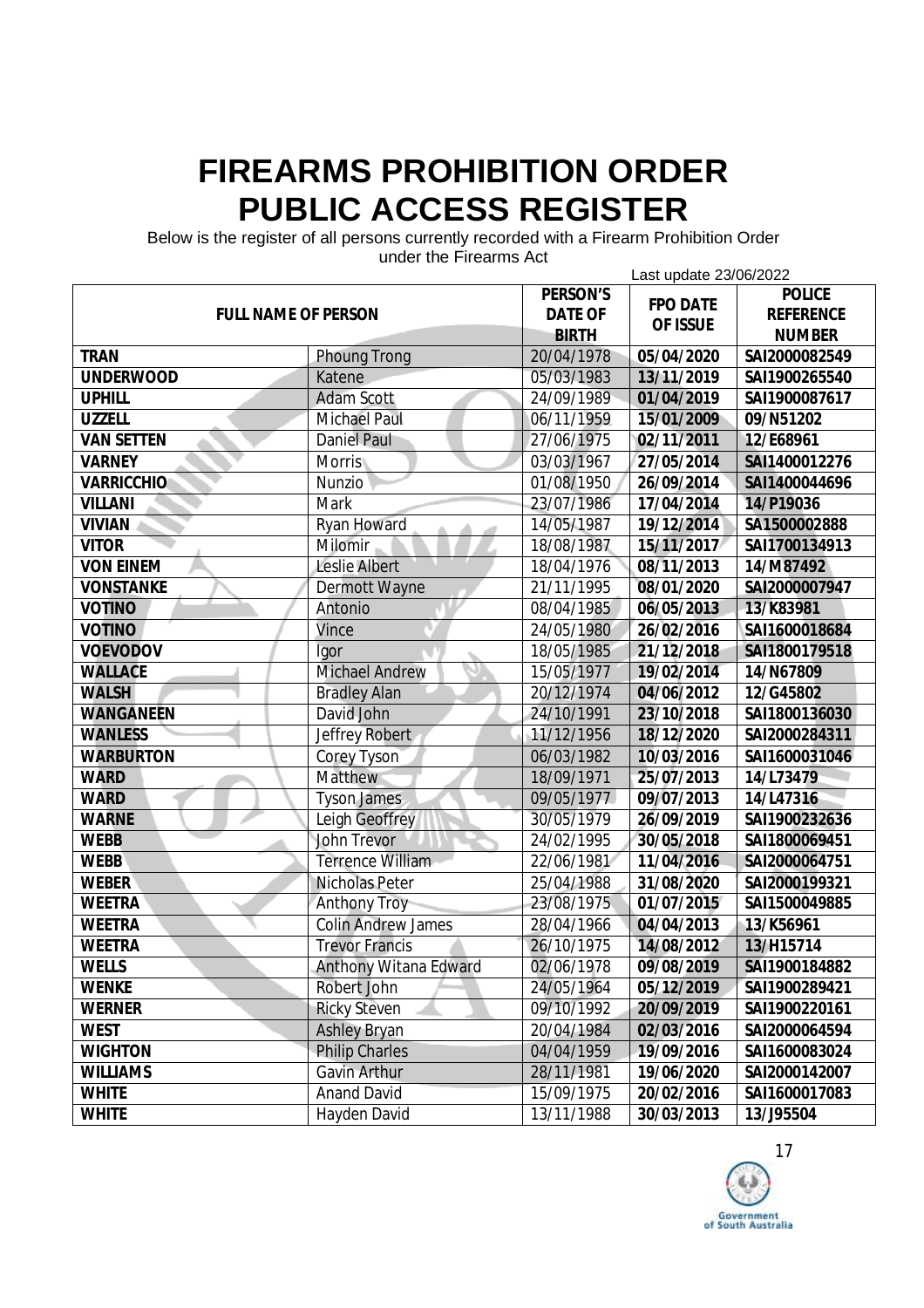Below is the register of all persons currently recorded with a Firearm Prohibition Order

| 911961 1116 1 116811113 ACL<br>Last update 23/06/2022 |                           |                |                 |                  |
|-------------------------------------------------------|---------------------------|----------------|-----------------|------------------|
| <b>FULL NAME OF PERSON</b>                            |                           | PERSON'S       |                 | <b>POLICE</b>    |
|                                                       |                           | <b>DATE OF</b> | <b>FPO DATE</b> | <b>REFERENCE</b> |
|                                                       |                           | <b>BIRTH</b>   | OF ISSUE        | <b>NUMBER</b>    |
| <b>TRAN</b>                                           | <b>Phoung Trong</b>       | 20/04/1978     | 05/04/2020      | SAI2000082549    |
| <b>UNDERWOOD</b>                                      | Katene                    | 05/03/1983     | 13/11/2019      | SAI1900265540    |
| <b>UPHILL</b>                                         | <b>Adam Scott</b>         | 24/09/1989     | 01/04/2019      | SAI1900087617    |
| <b>UZZELL</b>                                         | <b>Michael Paul</b>       | 06/11/1959     | 15/01/2009      | 09/N51202        |
| <b>VAN SETTEN</b>                                     | <b>Daniel Paul</b>        | 27/06/1975     | 02/11/2011      | 12/E68961        |
| <b>VARNEY</b>                                         | Morris                    | 03/03/1967     | 27/05/2014      | SAI1400012276    |
| <b>VARRICCHIO</b>                                     | Nunzio                    | 01/08/1950     | 26/09/2014      | SAI1400044696    |
| <b>VILLANI</b>                                        | <b>Mark</b>               | 23/07/1986     | 17/04/2014      | 14/P19036        |
| <b>VIVIAN</b>                                         | <b>Ryan Howard</b>        | 14/05/1987     | 19/12/2014      | SA1500002888     |
| <b>VITOR</b>                                          | Milomir                   | 18/08/1987     | 15/11/2017      | SAI1700134913    |
| <b>VON EINEM</b>                                      | <b>Leslie Albert</b>      | 18/04/1976     | 08/11/2013      | 14/M87492        |
| <b>VONSTANKE</b>                                      | Dermott Wayne             | 21/11/1995     | 08/01/2020      | SAI2000007947    |
| <b>VOTINO</b>                                         | Antonio                   | 08/04/1985     | 06/05/2013      | 13/K83981        |
| <b>VOTINO</b>                                         | Vince                     | 24/05/1980     | 26/02/2016      | SAI1600018684    |
| <b>VOEVODOV</b>                                       | Igor                      | 18/05/1985     | 21/12/2018      | SAI1800179518    |
| <b>WALLACE</b>                                        | <b>Michael Andrew</b>     | 15/05/1977     | 19/02/2014      | 14/N67809        |
| <b>WALSH</b>                                          | <b>Bradley Alan</b>       | 20/12/1974     | 04/06/2012      | 12/G45802        |
| <b>WANGANEEN</b>                                      | David John                | 24/10/1991     | 23/10/2018      | SAI1800136030    |
| <b>WANLESS</b>                                        | Jeffrey Robert            | 11/12/1956     | 18/12/2020      | SAI2000284311    |
| <b>WARBURTON</b>                                      | <b>Corey Tyson</b>        | 06/03/1982     | 10/03/2016      | SAI1600031046    |
| <b>WARD</b>                                           | <b>Matthew</b>            | 18/09/1971     | 25/07/2013      | 14/L73479        |
| <b>WARD</b>                                           | <b>Tyson James</b>        | 09/05/1977     | 09/07/2013      | 14/L47316        |
| <b>WARNE</b>                                          | <b>Leigh Geoffrey</b>     | 30/05/1979     | 26/09/2019      | SAI1900232636    |
| <b>WEBB</b>                                           | <b>John Trevor</b>        | 24/02/1995     | 30/05/2018      | SAI1800069451    |
| <b>WEBB</b>                                           | <b>Terrence William</b>   | 22/06/1981     | 11/04/2016      | SAI2000064751    |
| <b>WEBER</b>                                          | <b>Nicholas Peter</b>     | 25/04/1988     | 31/08/2020      | SAI2000199321    |
| <b>WEETRA</b>                                         | <b>Anthony Troy</b>       | 23/08/1975     | 01/07/2015      | SAI1500049885    |
| <b>WEETRA</b>                                         | <b>Colin Andrew James</b> | 28/04/1966     | 04/04/2013      | 13/K56961        |
| <b>WEETRA</b>                                         | <b>Trevor Francis</b>     | 26/10/1975     | 14/08/2012      | 13/H15714        |
| <b>WELLS</b>                                          | Anthony Witana Edward     | 02/06/1978     | 09/08/2019      | SAI1900184882    |
| <b>WENKE</b>                                          | Robert John               | 24/05/1964     | 05/12/2019      | SAI1900289421    |
| <b>WERNER</b>                                         | <b>Ricky Steven</b>       | 09/10/1992     | 20/09/2019      | SAI1900220161    |
| <b>WEST</b>                                           | <b>Ashley Bryan</b>       | 20/04/1984     | 02/03/2016      | SAI2000064594    |
| <b>WIGHTON</b>                                        | <b>Philip Charles</b>     | 04/04/1959     | 19/09/2016      | SAI1600083024    |
| <b>WILLIAMS</b>                                       | Gavin Arthur              | 28/11/1981     | 19/06/2020      | SAI2000142007    |
| <b>WHITE</b>                                          | <b>Anand David</b>        | 15/09/1975     | 20/02/2016      | SAI1600017083    |
| <b>WHITE</b>                                          | Hayden David              | 13/11/1988     | 30/03/2013      | 13/J95504        |